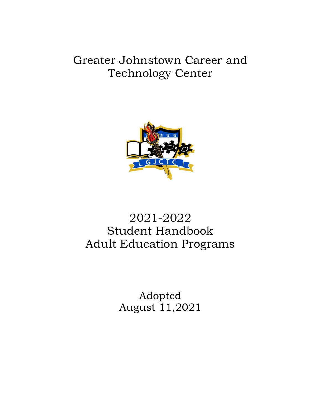Greater Johnstown Career and Technology Center



# 2021-2022 Student Handbook Adult Education Programs

Adopted August 11,2021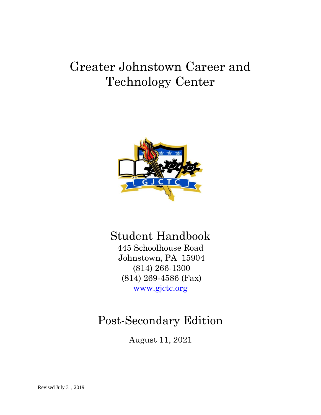# Greater Johnstown Career and Technology Center



# Student Handbook

445 Schoolhouse Road Johnstown, PA 15904 (814) 266-1300 (814) 269-4586 (Fax) www.gjctc.org

# Post-Secondary Edition

August 11, 2021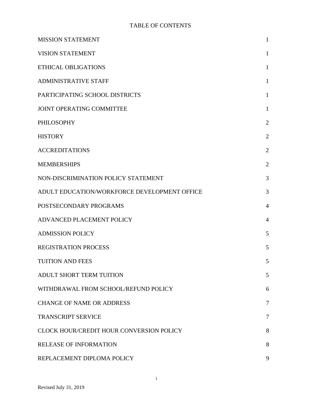#### TABLE OF CONTENTS

| <b>MISSION STATEMENT</b>                     | 1              |
|----------------------------------------------|----------------|
| <b>VISION STATEMENT</b>                      | 1              |
| <b>ETHICAL OBLIGATIONS</b>                   | $\mathbf{1}$   |
| <b>ADMINISTRATIVE STAFF</b>                  | $\mathbf{1}$   |
| PARTICIPATING SCHOOL DISTRICTS               | $\mathbf{1}$   |
| JOINT OPERATING COMMITTEE                    | $\mathbf{1}$   |
| <b>PHILOSOPHY</b>                            | $\overline{2}$ |
| <b>HISTORY</b>                               | $\overline{2}$ |
| <b>ACCREDITATIONS</b>                        | $\overline{2}$ |
| <b>MEMBERSHIPS</b>                           | $\overline{2}$ |
| NON-DISCRIMINATION POLICY STATEMENT          | 3              |
| ADULT EDUCATION/WORKFORCE DEVELOPMENT OFFICE | 3              |
| POSTSECONDARY PROGRAMS                       | 4              |
| ADVANCED PLACEMENT POLICY                    | $\overline{4}$ |
| <b>ADMISSION POLICY</b>                      | 5              |
| <b>REGISTRATION PROCESS</b>                  | 5              |
| <b>TUITION AND FEES</b>                      | 5              |
| ADULT SHORT TERM TUITION                     | 5              |
| WITHDRAWAL FROM SCHOOL/REFUND POLICY         | 6              |
| <b>CHANGE OF NAME OR ADDRESS</b>             | $\tau$         |
| <b>TRANSCRIPT SERVICE</b>                    | 7              |
| CLOCK HOUR/CREDIT HOUR CONVERSION POLICY     | 8              |
| <b>RELEASE OF INFORMATION</b>                | 8              |
| REPLACEMENT DIPLOMA POLICY                   | 9              |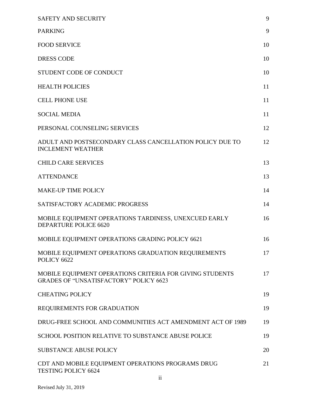| SAFETY AND SECURITY                                                                                       | 9  |
|-----------------------------------------------------------------------------------------------------------|----|
| <b>PARKING</b>                                                                                            | 9  |
| <b>FOOD SERVICE</b>                                                                                       | 10 |
| <b>DRESS CODE</b>                                                                                         | 10 |
| STUDENT CODE OF CONDUCT                                                                                   | 10 |
| <b>HEALTH POLICIES</b>                                                                                    | 11 |
| <b>CELL PHONE USE</b>                                                                                     | 11 |
| <b>SOCIAL MEDIA</b>                                                                                       | 11 |
| PERSONAL COUNSELING SERVICES                                                                              | 12 |
| ADULT AND POSTSECONDARY CLASS CANCELLATION POLICY DUE TO<br><b>INCLEMENT WEATHER</b>                      | 12 |
| <b>CHILD CARE SERVICES</b>                                                                                | 13 |
| <b>ATTENDANCE</b>                                                                                         | 13 |
| <b>MAKE-UP TIME POLICY</b>                                                                                | 14 |
| SATISFACTORY ACADEMIC PROGRESS                                                                            | 14 |
| MOBILE EQUIPMENT OPERATIONS TARDINESS, UNEXCUED EARLY<br>DEPARTURE POLICE 6620                            | 16 |
| MOBILE EQUIPMENT OPERATIONS GRADING POLICY 6621                                                           | 16 |
| MOBILE EQUIPMENT OPERATIONS GRADUATION REQUIREMENTS<br>POLICY 6622                                        | 17 |
| MOBILE EQUIPMENT OPERATIONS CRITERIA FOR GIVING STUDENTS<br><b>GRADES OF "UNSATISFACTORY" POLICY 6623</b> | 17 |
| <b>CHEATING POLICY</b>                                                                                    | 19 |
| REQUIREMENTS FOR GRADUATION                                                                               | 19 |
| DRUG-FREE SCHOOL AND COMMUNITIES ACT AMENDMENT ACT OF 1989                                                | 19 |
| SCHOOL POSITION RELATIVE TO SUBSTANCE ABUSE POLICE                                                        | 19 |
| <b>SUBSTANCE ABUSE POLICY</b>                                                                             | 20 |
| CDT AND MOBILE EQUIPMENT OPERATIONS PROGRAMS DRUG<br><b>TESTING POLICY 6624</b><br>$\ddot{\rm n}$         | 21 |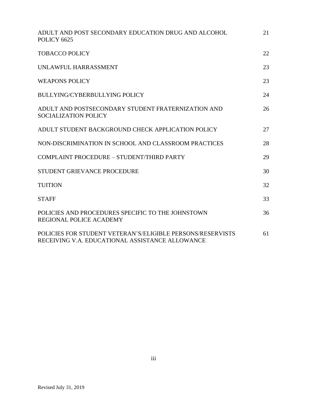| ADULT AND POST SECONDARY EDUCATION DRUG AND ALCOHOL<br>POLICY 6625                                            | 21 |
|---------------------------------------------------------------------------------------------------------------|----|
| <b>TOBACCO POLICY</b>                                                                                         | 22 |
| UNLAWFUL HARRASSMENT                                                                                          | 23 |
| <b>WEAPONS POLICY</b>                                                                                         | 23 |
| <b>BULLYING/CYBERBULLYING POLICY</b>                                                                          | 24 |
| ADULT AND POSTSECONDARY STUDENT FRATERNIZATION AND<br><b>SOCIALIZATION POLICY</b>                             | 26 |
| ADULT STUDENT BACKGROUND CHECK APPLICATION POLICY                                                             | 27 |
| NON-DISCRIMINATION IN SCHOOL AND CLASSROOM PRACTICES                                                          | 28 |
| COMPLAINT PROCEDURE - STUDENT/THIRD PARTY                                                                     | 29 |
| STUDENT GRIEVANCE PROCEDURE                                                                                   | 30 |
| <b>TUITION</b>                                                                                                | 32 |
| <b>STAFF</b>                                                                                                  | 33 |
| POLICIES AND PROCEDURES SPECIFIC TO THE JOHNSTOWN<br><b>REGIONAL POLICE ACADEMY</b>                           | 36 |
| POLICIES FOR STUDENT VETERAN'S/ELIGIBLE PERSONS/RESERVISTS<br>RECEIVING V.A. EDUCATIONAL ASSISTANCE ALLOWANCE | 61 |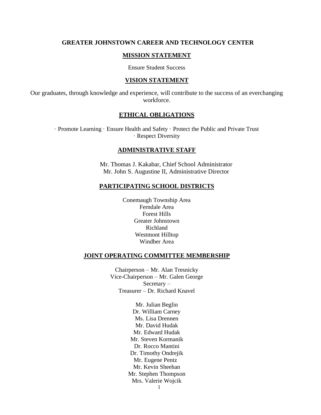#### **GREATER JOHNSTOWN CAREER AND TECHNOLOGY CENTER**

#### **MISSION STATEMENT**

Ensure Student Success

#### **VISION STATEMENT**

Our graduates, through knowledge and experience, will contribute to the success of an everchanging workforce.

#### **ETHICAL OBLIGATIONS**

· Promote Learning · Ensure Health and Safety · Protect the Public and Private Trust · Respect Diversity

#### **ADMINISTRATIVE STAFF**

Mr. Thomas J. Kakabar, Chief School Administrator Mr. John S. Augustine II, Administrative Director

#### **PARTICIPATING SCHOOL DISTRICTS**

Conemaugh Township Area Ferndale Area Forest Hills Greater Johnstown Richland Westmont Hilltop Windber Area

#### **JOINT OPERATING COMMITTEE MEMBERSHIP**

Chairperson – Mr. Alan Tresnicky Vice-Chairperson – Mr. Galen George Secretary – Treasurer – Dr. Richard Knavel

> Mr. Julian Beglin Dr. William Carney Ms. Lisa Drennen Mr. David Hudak Mr. Edward Hudak Mr. Steven Kormanik Dr. Rocco Mantini Dr. Timothy Ondrejik Mr. Eugene Pentz Mr. Kevin Sheehan Mr. Stephen Thompson Mrs. Valerie Wojcik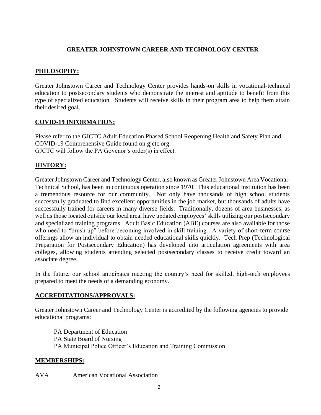## **GREATER JOHNSTOWN CAREER AND TECHNOLOGY CENTER**

# **PHILOSOPHY:**

Greater Johnstown Career and Technology Center provides hands-on skills in vocational-technical education to postsecondary students who demonstrate the interest and aptitude to benefit from this type of specialized education. Students will receive skills in their program area to help them attain their desired goal.

#### **COVID-19 INFORMATION:**

Please refer to the GJCTC Adult Education Phased School Reopening Health and Safety Plan and COVID-19 Comprehensive Guide found on gjctc.org. GJCTC will follow the PA Govenor's order(s) in effect.

# **HISTORY:**

Greater Johnstown Career and Technology Center, also known as Greater Johnstown Area Vocational-Technical School, has been in continuous operation since 1970. This educational institution has been a tremendous resource for our community. Not only have thousands of high school students successfully graduated to find excellent opportunities in the job market, but thousands of adults have successfully trained for careers in many diverse fields. Traditionally, dozens of area businesses, as well as those located outside our local area, have updated employees' skills utilizing our postsecondary and specialized training programs. Adult Basic Education (ABE) courses are also available for those who need to "brush up" before becoming involved in skill training. A variety of short-term course offerings allow an individual to obtain needed educational skills quickly. Tech Prep (Technological Preparation for Postsecondary Education) has developed into articulation agreements with area colleges, allowing students attending selected postsecondary classes to receive credit toward an associate degree.

In the future, our school anticipates meeting the country's need for skilled, high-tech employees prepared to meet the needs of a demanding economy.

#### **ACCREDITATIONS/APPROVALS:**

Greater Johnstown Career and Technology Center is accredited by the following agencies to provide educational programs:

PA Department of Education PA State Board of Nursing PA Municipal Police Officer's Education and Training Commission

#### **MEMBERSHIPS:**

AVA American Vocational Association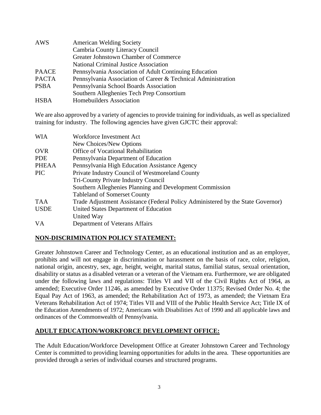| AWS          | <b>American Welding Society</b>                               |
|--------------|---------------------------------------------------------------|
|              | Cambria County Literacy Council                               |
|              | Greater Johnstown Chamber of Commerce                         |
|              | <b>National Criminal Justice Association</b>                  |
| <b>PAACE</b> | Pennsylvania Association of Adult Continuing Education        |
| <b>PACTA</b> | Pennsylvania Association of Career & Technical Administration |
| <b>PSBA</b>  | Pennsylvania School Boards Association                        |
|              | Southern Alleghenies Tech Prep Consortium                     |
| <b>HSBA</b>  | Homebuilders Association                                      |

We are also approved by a variety of agencies to provide training for individuals, as well as specialized training for industry. The following agencies have given GJCTC their approval:

| <b>WIA</b>   | Workforce Investment Act                                                        |
|--------------|---------------------------------------------------------------------------------|
|              | New Choices/New Options                                                         |
| <b>OVR</b>   | Office of Vocational Rehabilitation                                             |
| <b>PDE</b>   | Pennsylvania Department of Education                                            |
| <b>PHEAA</b> | Pennsylvania High Education Assistance Agency                                   |
| <b>PIC</b>   | Private Industry Council of Westmoreland County                                 |
|              | <b>Tri-County Private Industry Council</b>                                      |
|              | Southern Alleghenies Planning and Development Commission                        |
|              | <b>Tableland of Somerset County</b>                                             |
| <b>TAA</b>   | Trade Adjustment Assistance (Federal Policy Administered by the State Governor) |
| <b>USDE</b>  | United States Department of Education                                           |
|              | United Way                                                                      |
| <b>VA</b>    | Department of Veterans Affairs                                                  |

#### **NON-DISCRIMINATION POLICY STATEMENT:**

Greater Johnstown Career and Technology Center, as an educational institution and as an employer, prohibits and will not engage in discrimination or harassment on the basis of race, color, religion, national origin, ancestry, sex, age, height, weight, marital status, familial status, sexual orientation, disability or status as a disabled veteran or a veteran of the Vietnam era. Furthermore, we are obligated under the following laws and regulations: Titles VI and VII of the Civil Rights Act of 1964, as amended; Executive Order 11246, as amended by Executive Order 11375; Revised Order No. 4; the Equal Pay Act of 1963, as amended; the Rehabilitation Act of 1973, as amended; the Vietnam Era Veterans Rehabilitation Act of 1974; Titles VII and VIII of the Public Health Service Act; Title IX of the Education Amendments of 1972; Americans with Disabilities Act of 1990 and all applicable laws and ordinances of the Commonwealth of Pennsylvania.

#### **ADULT EDUCATION/WORKFORCE DEVELOPMENT OFFICE:**

The Adult Education/Workforce Development Office at Greater Johnstown Career and Technology Center is committed to providing learning opportunities for adults in the area. These opportunities are provided through a series of individual courses and structured programs.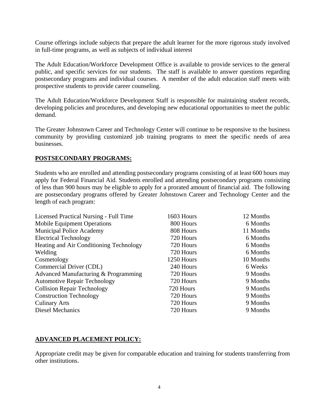Course offerings include subjects that prepare the adult learner for the more rigorous study involved in full-time programs, as well as subjects of individual interest

The Adult Education/Workforce Development Office is available to provide services to the general public, and specific services for our students. The staff is available to answer questions regarding postsecondary programs and individual courses. A member of the adult education staff meets with prospective students to provide career counseling.

The Adult Education/Workforce Development Staff is responsible for maintaining student records, developing policies and procedures, and developing new educational opportunities to meet the public demand.

The Greater Johnstown Career and Technology Center will continue to be responsive to the business community by providing customized job training programs to meet the specific needs of area businesses.

#### **POSTSECONDARY PROGRAMS:**

Students who are enrolled and attending postsecondary programs consisting of at least 600 hours may apply for Federal Financial Aid. Students enrolled and attending postsecondary programs consisting of less than 900 hours may be eligible to apply for a prorated amount of financial aid. The following are postsecondary programs offered by Greater Johnstown Career and Technology Center and the length of each program:

| Licensed Practical Nursing - Full Time  | 1603 Hours | 12 Months |
|-----------------------------------------|------------|-----------|
| <b>Mobile Equipment Operations</b>      | 800 Hours  | 6 Months  |
| <b>Municipal Police Academy</b>         | 808 Hours  | 11 Months |
| <b>Electrical Technology</b>            | 720 Hours  | 6 Months  |
| Heating and Air Conditioning Technology | 720 Hours  | 6 Months  |
| Welding                                 | 720 Hours  | 6 Months  |
| Cosmetology                             | 1250 Hours | 10 Months |
| Commercial Driver (CDL)                 | 240 Hours  | 6 Weeks   |
| Advanced Manufacturing & Programming    | 720 Hours  | 9 Months  |
| <b>Automotive Repair Technology</b>     | 720 Hours  | 9 Months  |
| <b>Collision Repair Technology</b>      | 720 Hours  | 9 Months  |
| <b>Construction Technology</b>          | 720 Hours  | 9 Months  |
| <b>Culinary Arts</b>                    | 720 Hours  | 9 Months  |
| Diesel Mechanics                        | 720 Hours  | 9 Months  |

#### **ADVANCED PLACEMENT POLICY:**

Appropriate credit may be given for comparable education and training for students transferring from other institutions.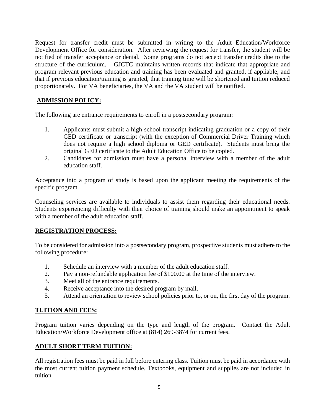Request for transfer credit must be submitted in writing to the Adult Education/Workforce Development Office for consideration. After reviewing the request for transfer, the student will be notified of transfer acceptance or denial. Some programs do not accept transfer credits due to the structure of the curriculum. GJCTC maintains written records that indicate that appropriate and program relevant previous education and training has been evaluated and granted, if appliable, and that if previous education/training is granted, that training time will be shortened and tuition reduced proportionately. For VA beneficiaries, the VA and the VA student will be notified.

#### **ADMISSION POLICY:**

The following are entrance requirements to enroll in a postsecondary program:

- 1. Applicants must submit a high school transcript indicating graduation or a copy of their GED certificate or transcript (with the exception of Commercial Driver Training which does not require a high school diploma or GED certificate). Students must bring the original GED certificate to the Adult Education Office to be copied.
- 2. Candidates for admission must have a personal interview with a member of the adult education staff.

Acceptance into a program of study is based upon the applicant meeting the requirements of the specific program.

Counseling services are available to individuals to assist them regarding their educational needs. Students experiencing difficulty with their choice of training should make an appointment to speak with a member of the adult education staff.

#### **REGISTRATION PROCESS:**

To be considered for admission into a postsecondary program, prospective students must adhere to the following procedure:

- 1. Schedule an interview with a member of the adult education staff.
- 2. Pay a non-refundable application fee of \$100.00 at the time of the interview.
- 3. Meet all of the entrance requirements.
- 4. Receive acceptance into the desired program by mail.
- 5. Attend an orientation to review school policies prior to, or on, the first day of the program.

#### **TUITION AND FEES:**

Program tuition varies depending on the type and length of the program. Contact the Adult Education/Workforce Development office at (814) 269-3874 for current fees.

#### **ADULT SHORT TERM TUITION:**

All registration fees must be paid in full before entering class. Tuition must be paid in accordance with the most current tuition payment schedule. Textbooks, equipment and supplies are not included in tuition.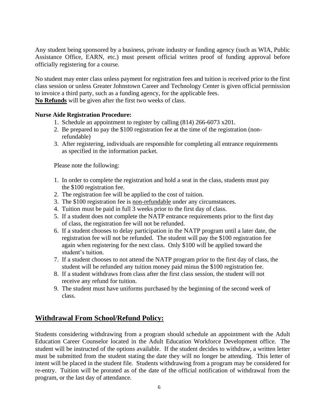Any student being sponsored by a business, private industry or funding agency (such as WIA, Public Assistance Office, EARN, etc.) must present official written proof of funding approval before officially registering for a course.

No student may enter class unless payment for registration fees and tuition is received prior to the first class session or unless Greater Johnstown Career and Technology Center is given official permission to invoice a third party, such as a funding agency, for the applicable fees. **No Refunds** will be given after the first two weeks of class.

**Nurse Aide Registration Procedure:**

- 1. Schedule an appointment to register by calling (814) 266-6073 x201.
- 2. Be prepared to pay the \$100 registration fee at the time of the registration (non refundable)
- 3. After registering, individuals are responsible for completing all entrance requirements as specified in the information packet.

Please note the following:

- 1. In order to complete the registration and hold a seat in the class, students must pay the \$100 registration fee.
- 2. The registration fee will be applied to the cost of tuition.
- 3. The \$100 registration fee is non-refundable under any circumstances.
- 4. Tuition must be paid in full 3 weeks prior to the first day of class.
- 5. If a student does not complete the NATP entrance requirements prior to the first day of class, the registration fee will not be refunded.
- 6. If a student chooses to delay participation in the NATP program until a later date, the registration fee will not be refunded. The student will pay the \$100 registration fee again when registering for the next class. Only \$100 will be applied toward the student's tuition.
- 7. If a student chooses to not attend the NATP program prior to the first day of class, the student will be refunded any tuition money paid minus the \$100 registration fee.
- 8. If a student withdraws from class after the first class session, the student will not receive any refund for tuition.
- 9. The student must have uniforms purchased by the beginning of the second week of class.

# **Withdrawal From School/Refund Policy:**

Students considering withdrawing from a program should schedule an appointment with the Adult Education Career Counselor located in the Adult Education Workforce Development office. The student will be instructed of the options available. If the student decides to withdraw, a written letter must be submitted from the student stating the date they will no longer be attending. This letter of intent will be placed in the student file. Students withdrawing from a program may be considered for re-entry. Tuition will be prorated as of the date of the official notification of withdrawal from the program, or the last day of attendance.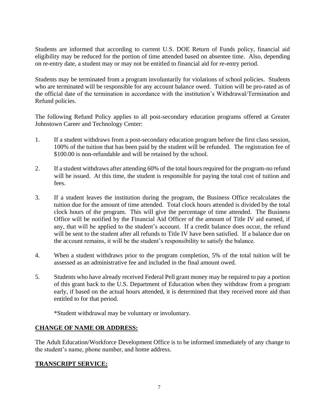Students are informed that according to current U.S. DOE Return of Funds policy, financial aid eligibility may be reduced for the portion of time attended based on absentee time. Also, depending on re-entry date, a student may or may not be entitled to financial aid for re-entry period.

Students may be terminated from a program involuntarily for violations of school policies. Students who are terminated will be responsible for any account balance owed. Tuition will be pro-rated as of the official date of the termination in accordance with the institution's Withdrawal/Termination and Refund policies.

The following Refund Policy applies to all post-secondary education programs offered at Greater Johnstown Career and Technology Center:

- 1. If a student withdraws from a post-secondary education program before the first class session, 100% of the tuition that has been paid by the student will be refunded. The registration fee of \$100.00 is non-refundable and will be retained by the school.
- 2. If a student withdraws after attending 60% of the total hours required for the program-no refund will be issued. At this time, the student is responsible for paying the total cost of tuition and fees.
- 3. If a student leaves the institution during the program, the Business Office recalculates the tuition due for the amount of time attended. Total clock hours attended is divided by the total clock hours of the program. This will give the percentage of time attended. The Business Office will be notified by the Financial Aid Officer of the amount of Title IV aid earned, if any, that will be applied to the student's account. If a credit balance does occur, the refund will be sent to the student after all refunds to Title IV have been satisfied. If a balance due on the account remains, it will be the student's responsibility to satisfy the balance.
- 4. When a student withdraws prior to the program completion, 5% of the total tuition will be assessed as an administrative fee and included in the final amount owed.
- 5. Students who have already received Federal Pell grant money may be required to pay a portion of this grant back to the U.S. Department of Education when they withdraw from a program early, if based on the actual hours attended, it is determined that they received more aid than entitled to for that period.

\*Student withdrawal may be voluntary or involuntary.

#### **CHANGE OF NAME OR ADDRESS:**

The Adult Education/Workforce Development Office is to be informed immediately of any change to the student's name, phone number, and home address.

#### **TRANSCRIPT SERVICE:**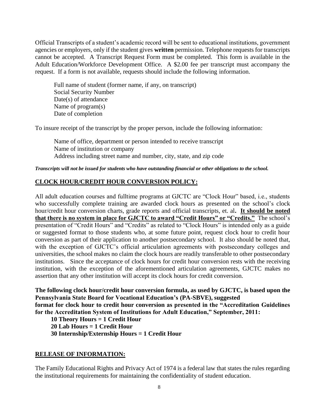Official Transcripts of a student's academic record will be sent to educational institutions, government agencies or employers, only if the student gives **written** permission. Telephone requests for transcripts cannot be accepted. A Transcript Request Form must be completed. This form is available in the Adult Education/Workforce Development Office. A \$2.00 fee per transcript must accompany the request. If a form is not available, requests should include the following information.

Full name of student (former name, if any, on transcript) Social Security Number Date(s) of attendance Name of program(s) Date of completion

To insure receipt of the transcript by the proper person, include the following information:

Name of office, department or person intended to receive transcript Name of institution or company Address including street name and number, city, state, and zip code

*Transcripts will not be issued for students who have outstanding financial or other obligations to the school.*

#### **CLOCK HOUR/CREDIT HOUR CONVERSION POLICY:**

All adult education courses and fulltime programs at GJCTC are "Clock Hour" based, i.e., students who successfully complete training are awarded clock hours as presented on the school's clock hour/credit hour conversion charts, grade reports and official transcripts, et. al**. It should be noted that there is no system in place for GJCTC to award "Credit Hours" or "Credits."** The school's presentation of "Credit Hours" and "Credits" as related to "Clock Hours" is intended only as a guide or suggested format to those students who, at some future point, request clock hour to credit hour conversion as part of their application to another postsecondary school. It also should be noted that, with the exception of GJCTC's official articulation agreements with postsecondary colleges and universities, the school makes no claim the clock hours are readily transferable to other postsecondary institutions. Since the acceptance of clock hours for credit hour conversion rests with the receiving institution, with the exception of the aforementioned articulation agreements, GJCTC makes no assertion that any other institution will accept its clock hours for credit conversion.

**The following clock hour/credit hour conversion formula, as used by GJCTC, is based upon the Pennsylvania State Board for Vocational Education's (PA-SBVE), suggested format for clock hour to credit hour conversion as presented in the "Accreditation Guidelines for the Accreditation System of Institutions for Adult Education," September, 2011:**

 **10 Theory Hours = 1 Credit Hour**

 **20 Lab Hours = 1 Credit Hour**

 **30 Internship/Externship Hours = 1 Credit Hour**

#### **RELEASE OF INFORMATION:**

The Family Educational Rights and Privacy Act of 1974 is a federal law that states the rules regarding the institutional requirements for maintaining the confidentiality of student education.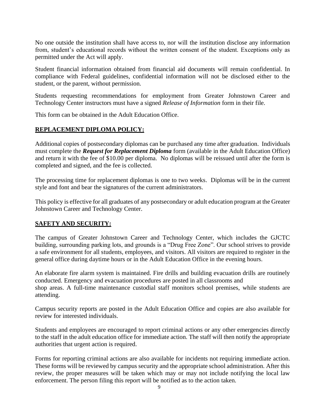No one outside the institution shall have access to, nor will the institution disclose any information from, student's educational records without the written consent of the student. Exceptions only as permitted under the Act will apply.

Student financial information obtained from financial aid documents will remain confidential. In compliance with Federal guidelines, confidential information will not be disclosed either to the student, or the parent, without permission.

Students requesting recommendations for employment from Greater Johnstown Career and Technology Center instructors must have a signed *Release of Information* form in their file.

This form can be obtained in the Adult Education Office.

#### **REPLACEMENT DIPLOMA POLICY:**

Additional copies of postsecondary diplomas can be purchased any time after graduation. Individuals must complete the *Request for Replacement Diploma* form (available in the Adult Education Office) and return it with the fee of \$10.00 per diploma. No diplomas will be reissued until after the form is completed and signed, and the fee is collected.

The processing time for replacement diplomas is one to two weeks. Diplomas will be in the current style and font and bear the signatures of the current administrators.

This policy is effective for all graduates of any postsecondary or adult education program at the Greater Johnstown Career and Technology Center.

#### **SAFETY AND SECURITY:**

The campus of Greater Johnstown Career and Technology Center, which includes the GJCTC building, surrounding parking lots, and grounds is a "Drug Free Zone". Our school strives to provide a safe environment for all students, employees, and visitors. All visitors are required to register in the general office during daytime hours or in the Adult Education Office in the evening hours.

An elaborate fire alarm system is maintained. Fire drills and building evacuation drills are routinely conducted. Emergency and evacuation procedures are posted in all classrooms and shop areas. A full-time maintenance custodial staff monitors school premises, while students are attending.

Campus security reports are posted in the Adult Education Office and copies are also available for review for interested individuals.

Students and employees are encouraged to report criminal actions or any other emergencies directly to the staff in the adult education office for immediate action. The staff will then notify the appropriate authorities that urgent action is required.

Forms for reporting criminal actions are also available for incidents not requiring immediate action. These forms will be reviewed by campus security and the appropriate school administration. After this review, the proper measures will be taken which may or may not include notifying the local law enforcement. The person filing this report will be notified as to the action taken.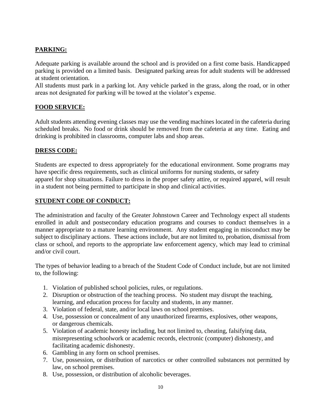# **PARKING:**

Adequate parking is available around the school and is provided on a first come basis. Handicapped parking is provided on a limited basis. Designated parking areas for adult students will be addressed at student orientation.

All students must park in a parking lot. Any vehicle parked in the grass, along the road, or in other areas not designated for parking will be towed at the violator's expense.

# **FOOD SERVICE:**

Adult students attending evening classes may use the vending machines located in the cafeteria during scheduled breaks. No food or drink should be removed from the cafeteria at any time. Eating and drinking is prohibited in classrooms, computer labs and shop areas.

#### **DRESS CODE:**

Students are expected to dress appropriately for the educational environment. Some programs may have specific dress requirements, such as clinical uniforms for nursing students, or safety apparel for shop situations. Failure to dress in the proper safety attire, or required apparel, will result in a student not being permitted to participate in shop and clinical activities.

#### **STUDENT CODE OF CONDUCT:**

The administration and faculty of the Greater Johnstown Career and Technology expect all students enrolled in adult and postsecondary education programs and courses to conduct themselves in a manner appropriate to a mature learning environment. Any student engaging in misconduct may be subject to disciplinary actions. These actions include, but are not limited to, probation, dismissal from class or school, and reports to the appropriate law enforcement agency, which may lead to criminal and/or civil court.

The types of behavior leading to a breach of the Student Code of Conduct include, but are not limited to, the following:

- 1. Violation of published school policies, rules, or regulations.
- 2. Disruption or obstruction of the teaching process. No student may disrupt the teaching, learning, and education process for faculty and students, in any manner.
- 3. Violation of federal, state, and/or local laws on school premises.
- 4. Use, possession or concealment of any unauthorized firearms, explosives, other weapons, or dangerous chemicals.
- 5. Violation of academic honesty including, but not limited to, cheating, falsifying data, misrepresenting schoolwork or academic records, electronic (computer) dishonesty, and facilitating academic dishonesty.
- 6. Gambling in any form on school premises.
- 7. Use, possession, or distribution of narcotics or other controlled substances not permitted by law, on school premises.
- 8. Use, possession, or distribution of alcoholic beverages.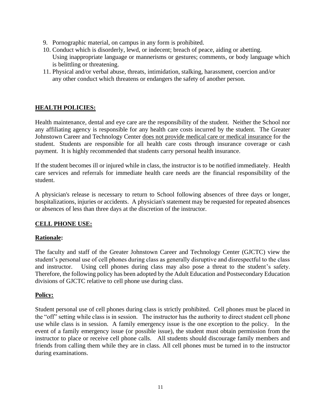- 9. Pornographic material, on campus in any form is prohibited.
- 10. Conduct which is disorderly, lewd, or indecent; breach of peace, aiding or abetting. Using inappropriate language or mannerisms or gestures; comments, or body language which is belittling or threatening.
- 11. Physical and/or verbal abuse, threats, intimidation, stalking, harassment, coercion and/or any other conduct which threatens or endangers the safety of another person.

# **HEALTH POLICIES:**

Health maintenance, dental and eye care are the responsibility of the student. Neither the School nor any affiliating agency is responsible for any health care costs incurred by the student. The Greater Johnstown Career and Technology Center does not provide medical care or medical insurance for the student. Students are responsible for all health care costs through insurance coverage or cash payment. It is highly recommended that students carry personal health insurance.

If the student becomes ill or injured while in class, the instructor is to be notified immediately. Health care services and referrals for immediate health care needs are the financial responsibility of the student.

A physician's release is necessary to return to School following absences of three days or longer, hospitalizations, injuries or accidents. A physician's statement may be requested for repeated absences or absences of less than three days at the discretion of the instructor.

#### **CELL PHONE USE:**

#### **Rationale:**

The faculty and staff of the Greater Johnstown Career and Technology Center (GJCTC) view the student's personal use of cell phones during class as generally disruptive and disrespectful to the class and instructor. Using cell phones during class may also pose a threat to the student's safety. Therefore, the following policy has been adopted by the Adult Education and Postsecondary Education divisions of GJCTC relative to cell phone use during class.

#### **Policy:**

Student personal use of cell phones during class is strictly prohibited. Cell phones must be placed in the "off" setting while class is in session. The instructor has the authority to direct student cell phone use while class is in session. A family emergency issue is the one exception to the policy. In the event of a family emergency issue (or possible issue), the student must obtain permission from the instructor to place or receive cell phone calls. All students should discourage family members and friends from calling them while they are in class. All cell phones must be turned in to the instructor during examinations.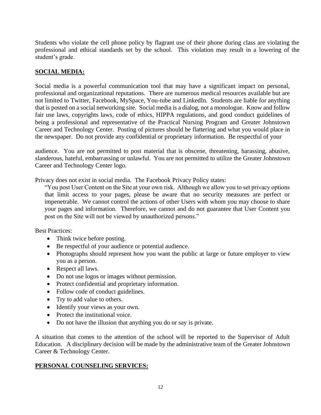Students who violate the cell phone policy by flagrant use of their phone during class are violating the professional and ethical standards set by the school. This violation may result in a lowering of the student's grade.

# **SOCIAL MEDIA:**

Social media is a powerful communication tool that may have a significant impact on personal, professional and organizational reputations. There are numerous medical resources available but are not limited to Twitter, Facebook, MySpace, You-tube and LinkedIn. Students are liable for anything that is posted on a social networking site. Social media is a dialog, not a monologue. Know and follow fair use laws, copyrights laws, code of ethics, HIPPA regulations, and good conduct guidelines of being a professional and representative of the Practical Nursing Program and Greater Johnstown Career and Technology Center. Posting of pictures should be flattering and what you would place in the newspaper. Do not provide any confidential or proprietary information. Be respectful of your

audience. You are not permitted to post material that is obscene, threatening, harassing, abusive, slanderous, hateful, embarrassing or unlawful. You are not permitted to utilize the Greater Johnstown Career and Technology Center logo.

Privacy does not exist in social media. The Facebook Privacy Policy states:

"You post User Content on the Site at your own risk. Although we allow you to set privacy options that limit access to your pages, please be aware that no security measures are perfect or impenetrable. We cannot control the actions of other Users with whom you may choose to share your pages and information. Therefore, we cannot and do not guarantee that User Content you post on the Site will not be viewed by unauthorized persons."

Best Practices:

- Think twice before posting.
- Be respectful of your audience or potential audience.
- Photographs should represent how you want the public at large or future employer to view you as a person.
- Respect all laws.
- Do not use logos or images without permission.
- Protect confidential and proprietary information.
- Follow code of conduct guidelines.
- Try to add value to others.
- Identify your views as your own.
- Protect the institutional voice.
- Do not have the illusion that anything you do or say is private.

A situation that comes to the attention of the school will be reported to the Supervisor of Adult Education. A disciplinary decision will be made by the administrative team of the Greater Johnstown Career & Technology Center.

#### **PERSONAL COUNSELING SERVICES:**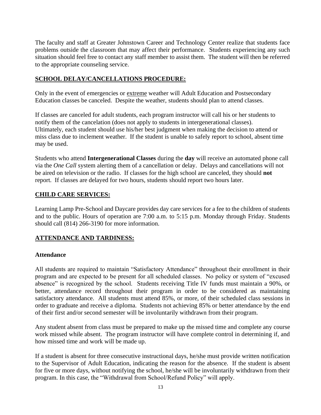The faculty and staff at Greater Johnstown Career and Technology Center realize that students face problems outside the classroom that may affect their performance. Students experiencing any such situation should feel free to contact any staff member to assist them. The student will then be referred to the appropriate counseling service.

#### **SCHOOL DELAY/CANCELLATIONS PROCEDURE:**

Only in the event of emergencies or extreme weather will Adult Education and Postsecondary Education classes be canceled. Despite the weather, students should plan to attend classes.

If classes are canceled for adult students, each program instructor will call his or her students to notify them of the cancelation (does not apply to students in intergenerational classes). Ultimately, each student should use his/her best judgment when making the decision to attend or miss class due to inclement weather. If the student is unable to safely report to school, absent time may be used.

Students who attend **Intergenerational Classes** during the **day** will receive an automated phone call via the *One Call* system alerting them of a cancellation or delay. Delays and cancellations will not be aired on television or the radio. If classes for the high school are canceled, they should **not**  report. If classes are delayed for two hours, students should report two hours later.

#### **CHILD CARE SERVICES:**

Learning Lamp Pre-School and Daycare provides day care services for a fee to the children of students and to the public. Hours of operation are 7:00 a.m. to 5:15 p.m. Monday through Friday. Students should call (814) 266-3190 for more information.

#### **ATTENDANCE AND TARDINESS:**

#### **Attendance**

All students are required to maintain "Satisfactory Attendance" throughout their enrollment in their program and are expected to be present for all scheduled classes. No policy or system of "excused absence" is recognized by the school. Students receiving Title IV funds must maintain a 90%, or better, attendance record throughout their program in order to be considered as maintaining satisfactory attendance. All students must attend 85%, or more, of their scheduled class sessions in order to graduate and receive a diploma. Students not achieving 85% or better attendance by the end of their first and/or second semester will be involuntarily withdrawn from their program.

Any student absent from class must be prepared to make up the missed time and complete any course work missed while absent. The program instructor will have complete control in determining if, and how missed time and work will be made up.

If a student is absent for three consecutive instructional days, he/she must provide written notification to the Supervisor of Adult Education, indicating the reason for the absence. If the student is absent for five or more days, without notifying the school, he/she will be involuntarily withdrawn from their program. In this case, the "Withdrawal from School/Refund Policy" will apply.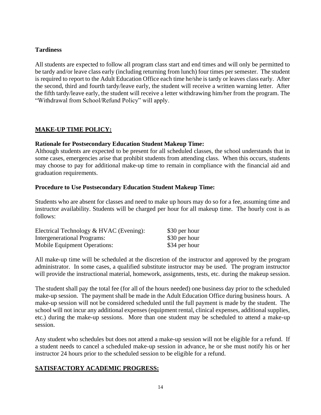#### **Tardiness**

All students are expected to follow all program class start and end times and will only be permitted to be tardy and/or leave class early (including returning from lunch) four times per semester. The student is required to report to the Adult Education Office each time he/she is tardy or leaves class early. After the second, third and fourth tardy/leave early, the student will receive a written warning letter. After the fifth tardy/leave early, the student will receive a letter withdrawing him/her from the program. The "Withdrawal from School/Refund Policy" will apply.

# **MAKE-UP TIME POLICY:**

#### **Rationale for Postsecondary Education Student Makeup Time:**

Although students are expected to be present for all scheduled classes, the school understands that in some cases, emergencies arise that prohibit students from attending class. When this occurs, students may choose to pay for additional make-up time to remain in compliance with the financial aid and graduation requirements.

#### **Procedure to Use Postsecondary Education Student Makeup Time:**

Students who are absent for classes and need to make up hours may do so for a fee, assuming time and instructor availability. Students will be charged per hour for all makeup time. The hourly cost is as follows:

| Electrical Technology & HVAC (Evening): | \$30 per hour |
|-----------------------------------------|---------------|
| <b>Intergenerational Programs:</b>      | \$30 per hour |
| Mobile Equipment Operations:            | \$34 per hour |

All make-up time will be scheduled at the discretion of the instructor and approved by the program administrator. In some cases, a qualified substitute instructor may be used. The program instructor will provide the instructional material, homework, assignments, tests, etc. during the makeup session.

The student shall pay the total fee (for all of the hours needed) one business day prior to the scheduled make-up session. The payment shall be made in the Adult Education Office during business hours. A make-up session will not be considered scheduled until the full payment is made by the student. The school will not incur any additional expenses (equipment rental, clinical expenses, additional supplies, etc.) during the make-up sessions. More than one student may be scheduled to attend a make-up session.

Any student who schedules but does not attend a make-up session will not be eligible for a refund. If a student needs to cancel a scheduled make-up session in advance, he or she must notify his or her instructor 24 hours prior to the scheduled session to be eligible for a refund.

#### **SATISFACTORY ACADEMIC PROGRESS:**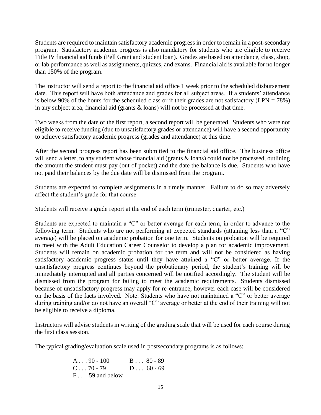Students are required to maintain satisfactory academic progress in order to remain in a post-secondary program. Satisfactory academic progress is also mandatory for students who are eligible to receive Title IV financial aid funds (Pell Grant and student loan). Grades are based on attendance, class, shop, or lab performance as well as assignments, quizzes, and exams. Financial aid is available for no longer than 150% of the program.

The instructor will send a report to the financial aid office 1 week prior to the scheduled disbursement date. This report will have both attendance and grades for all subject areas. If a students' attendance is below 90% of the hours for the scheduled class or if their grades are not satisfactory (LPN =  $78\%$ ) in any subject area, financial aid (grants & loans) will not be processed at that time.

Two weeks from the date of the first report, a second report will be generated. Students who were not eligible to receive funding (due to unsatisfactory grades or attendance) will have a second opportunity to achieve satisfactory academic progress (grades and attendance) at this time.

After the second progress report has been submitted to the financial aid office. The business office will send a letter, to any student whose financial aid (grants & loans) could not be processed, outlining the amount the student must pay (out of pocket) and the date the balance is due. Students who have not paid their balances by the due date will be dismissed from the program.

Students are expected to complete assignments in a timely manner. Failure to do so may adversely affect the student's grade for that course.

Students will receive a grade report at the end of each term (trimester, quarter, etc.)

Students are expected to maintain a "C" or better average for each term, in order to advance to the following term. Students who are not performing at expected standards (attaining less than a "C" average) will be placed on academic probation for one term. Students on probation will be required to meet with the Adult Education Career Counselor to develop a plan for academic improvement. Students will remain on academic probation for the term and will not be considered as having satisfactory academic progress status until they have attained a "C" or better average. If the unsatisfactory progress continues beyond the probationary period, the student's training will be immediately interrupted and all parties concerned will be notified accordingly. The student will be dismissed from the program for failing to meet the academic requirements. Students dismissed because of unsatisfactory progress may apply for re-entrance; however each case will be considered on the basis of the facts involved. Note: Students who have not maintained a "C" or better average during training and/or do not have an overall "C" average or better at the end of their training will not be eligible to receive a diploma.

Instructors will advise students in writing of the grading scale that will be used for each course during the first class session.

The typical grading/evaluation scale used in postsecondary programs is as follows:

| $A \dots 90 - 100$      | $B \ldots 80 - 89$ |
|-------------------------|--------------------|
| $C \ldots 70 - 79$      | $D 60 - 69$        |
| $F \ldots 59$ and below |                    |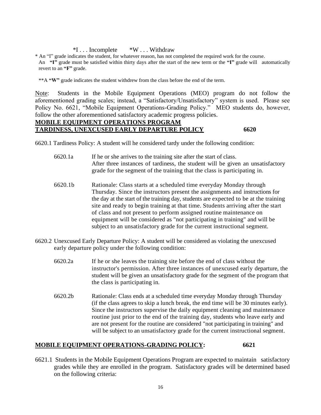#### \*I . . . Incomplete \*W . . . Withdraw

\* An "I" grade indicates the student, for whatever reason, has not completed the required work for the course. An **"I"** grade must be satisfied within thirty days after the start of the new term or the **"I"** grade will automatically revert to an **"F"** grade.

\*\*A **"W"** grade indicates the student withdrew from the class before the end of the term.

Note: Students in the Mobile Equipment Operations (MEO) program do not follow the aforementioned grading scales; instead, a "Satisfactory/Unsatisfactory" system is used. Please see Policy No. 6621, "Mobile Equipment Operations-Grading Policy." MEO students do, however, follow the other aforementioned satisfactory academic progress policies.

#### **MOBILE EQUIPMENT OPERATIONS PROGRAM TARDINESS, UNEXCUSED EARLY DEPARTURE POLICY 6620**

6620.1 Tardiness Policy: A student will he considered tardy under the following condition:

- 6620.1a If he or she arrives to the training site after the start of class. After three instances of tardiness, the student will be given an unsatisfactory grade for the segment of the training that the class is participating in.
- 6620.1b Rationale: Class starts at a scheduled time everyday Monday through Thursday. Since the instructors present the assignments and instructions for the day at the start of the training day, students are expected to be at the training site and ready to begin training at that time. Students arriving after the start of class and not present to perform assigned routine maintenance on equipment will be considered as "not participating in training" and will be subject to an unsatisfactory grade for the current instructional segment.
- 6620.2 Unexcused Early Departure Policy: A student will be considered as violating the unexcused early departure policy under the following condition:
	- 6620.2a If he or she leaves the training site before the end of class without the instructor's permission. After three instances of unexcused early departure, the student will be given an unsatisfactory grade for the segment of the program that the class is participating in.
	- 6620.2b Rationale: Class ends at a scheduled time everyday Monday through Thursday (if the class agrees to skip a lunch break, the end time will be 30 minutes early). Since the instructors supervise the daily equipment cleaning and maintenance routine just prior to the end of the training day, students who leave early and are not present for the routine are considered "not participating in training" and will be subject to an unsatisfactory grade for the current instructional segment.

#### **MOBILE EQUIPMENT OPERATIONS-GRADING POLICY: 6621**

6621.1 Students in the Mobile Equipment Operations Program are expected to maintain satisfactory grades while they are enrolled in the program. Satisfactory grades will be determined based on the following criteria: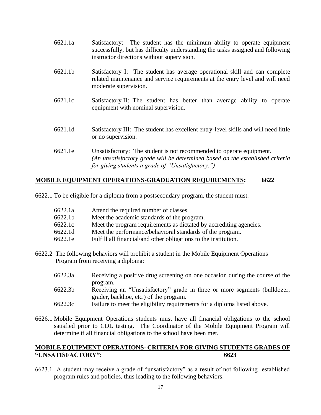- 6621.1a Satisfactory: The student has the minimum ability to operate equipment successfully, but has difficulty understanding the tasks assigned and following instructor directions without supervision.
- 6621.1b Satisfactory I: The student has average operational skill and can complete related maintenance and service requirements at the entry level and will need moderate supervision.
- 6621.1c Satisfactory II: The student has better than average ability to operate equipment with nominal supervision.
- 6621.1d Satisfactory III: The student has excellent entry-level skills and will need little or no supervision.
- 6621.1e Unsatisfactory: The student is not recommended to operate equipment. *(An unsatisfactory grade will be determined based on the established criteria for giving students a grade of "Unsatisfactory.")*

#### **MOBILE EQUIPMENT OPERATIONS-GRADUATION REQUIREMENTS: 6622**

6622.1 To be eligible for a diploma from a postsecondary program, the student must:

- 6622.1a Attend the required number of classes.
- 6622.1b Meet the academic standards of the program.
- 6622.1c Meet the program requirements as dictated by accrediting agencies.
- 6622.1d Meet the performance/behavioral standards of the program.
- 6622.1e Fulfill all financial/and other obligations to the institution.
- 6622.2 The following behaviors will prohibit a student in the Mobile Equipment Operations Program from receiving a diploma:
	- 6622.3a Receiving a positive drug screening on one occasion during the course of the program.
	- 6622.3b Receiving an "Unsatisfactory" grade in three or more segments (bulldozer, grader, backhoe, etc.) of the program.
	- 6622.3c Failure to meet the eligibility requirements for a diploma listed above.
- 6626.1 Mobile Equipment Operations students must have all financial obligations to the school satisfied prior to CDL testing. The Coordinator of the Mobile Equipment Program will determine if all financial obligations to the school have been met.

#### **MOBILE EQUIPMENT OPERATIONS- CRITERIA FOR GIVING STUDENTS GRADES OF "UNSATISFACTORY": 6623**

6623.1 A student may receive a grade of "unsatisfactory" as a result of not following established program rules and policies, thus leading to the following behaviors: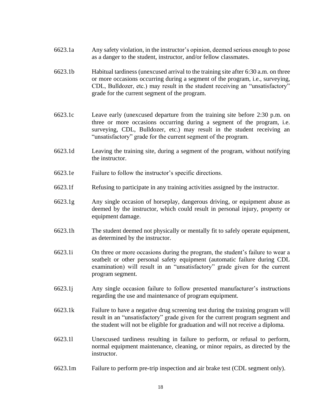- 6623.1a Any safety violation, in the instructor's opinion, deemed serious enough to pose as a danger to the student, instructor, and/or fellow classmates.
- 6623.1b Habitual tardiness (unexcused arrival to the training site after 6:30 a.m. on three or more occasions occurring during a segment of the program, i.e., surveying, CDL, Bulldozer, etc.) may result in the student receiving an "unsatisfactory" grade for the current segment of the program.
- 6623.1c Leave early (unexcused departure from the training site before 2:30 p.m. on three or more occasions occurring during a segment of the program, i.e. surveying, CDL, Bulldozer, etc.) may result in the student receiving an "unsatisfactory" grade for the current segment of the program.
- 6623.1d Leaving the training site, during a segment of the program, without notifying the instructor.
- 6623.1e Failure to follow the instructor's specific directions.
- 6623.1f Refusing to participate in any training activities assigned by the instructor.
- 6623.1g Any single occasion of horseplay, dangerous driving, or equipment abuse as deemed by the instructor, which could result in personal injury, property or equipment damage.
- 6623.1h The student deemed not physically or mentally fit to safely operate equipment, as determined by the instructor.
- 6623.1i On three or more occasions during the program, the student's failure to wear a seatbelt or other personal safety equipment (automatic failure during CDL examination) will result in an "unsatisfactory" grade given for the current program segment.
- 6623.1j Any single occasion failure to follow presented manufacturer's instructions regarding the use and maintenance of program equipment.
- 6623.1k Failure to have a negative drug screening test during the training program will result in an "unsatisfactory" grade given for the current program segment and the student will not be eligible for graduation and will not receive a diploma.
- 6623.1l Unexcused tardiness resulting in failure to perform, or refusal to perform, normal equipment maintenance, cleaning, or minor repairs, as directed by the instructor.
- 6623.1m Failure to perform pre-trip inspection and air brake test (CDL segment only).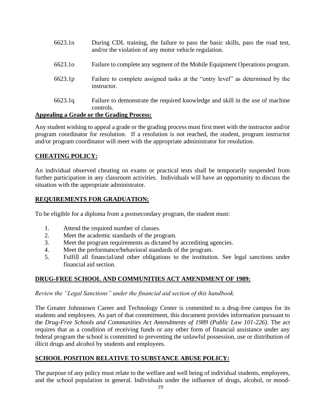| 6623.1n             | During CDL training, the failure to pass the basic skills, pass the road test,<br>and/or the violation of any motor vehicle regulation. |
|---------------------|-----------------------------------------------------------------------------------------------------------------------------------------|
| 6623.1 <sub>0</sub> | Failure to complete any segment of the Mobile Equipment Operations program.                                                             |
| 6623.1p             | Failure to complete assigned tasks at the "entry level" as determined by the<br>instructor.                                             |
| 6623.1q             | Failure to demonstrate the required knowledge and skill in the use of machine<br>controls.                                              |

#### **Appealing a Grade or the Grading Process:**

Any student wishing to appeal a grade or the grading process must first meet with the instructor and/or program coordinator for resolution. If a resolution is not reached, the student, program instructor and/or program coordinator will meet with the appropriate administrator for resolution.

#### **CHEATING POLICY:**

An individual observed cheating on exams or practical tests shall be temporarily suspended from further participation in any classroom activities. Individuals will have an opportunity to discuss the situation with the appropriate administrator.

#### **REQUIREMENTS FOR GRADUATION:**

To be eligible for a diploma from a postsecondary program, the student must:

- 1. Attend the required number of classes.
- 2. Meet the academic standards of the program.
- 3. Meet the program requirements as dictated by accrediting agencies.
- 4. Meet the performance/behavioral standards of the program.
- 5. Fulfill all financial/and other obligations to the institution. See legal sanctions under financial aid section.

#### **DRUG-FREE SCHOOL AND COMMUNITIES ACT AMENDMENT OF 1989:**

*Review the "Legal Sanctions" under the financial aid section of this handbook.*

The Greater Johnstown Career and Technology Center is committed to a drug-free campus for its students and employees. As part of that commitment, this document provides information pursuant to the *Drug-Free Schools and Communities Act Amendments of 1989 (Public Law 101-226)*. The act requires that as a condition of receiving funds or any other form of financial assistance under any federal program the school is committed to preventing the unlawful possession, use or distribution of illicit drugs and alcohol by students and employees.

#### **SCHOOL POSITION RELATIVE TO SUBSTANCE ABUSE POLICY:**

The purpose of any policy must relate to the welfare and well being of individual students, employees, and the school population in general. Individuals under the influence of drugs, alcohol, or mood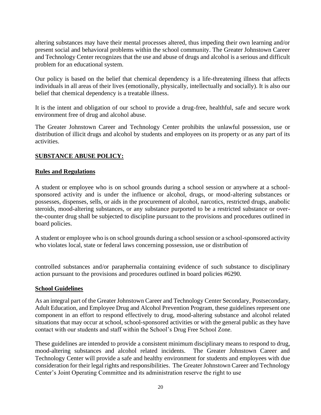altering substances may have their mental processes altered, thus impeding their own learning and/or present social and behavioral problems within the school community. The Greater Johnstown Career and Technology Center recognizes that the use and abuse of drugs and alcohol is a serious and difficult problem for an educational system.

Our policy is based on the belief that chemical dependency is a life-threatening illness that affects individuals in all areas of their lives (emotionally, physically, intellectually and socially). It is also our belief that chemical dependency is a treatable illness.

It is the intent and obligation of our school to provide a drug-free, healthful, safe and secure work environment free of drug and alcohol abuse.

The Greater Johnstown Career and Technology Center prohibits the unlawful possession, use or distribution of illicit drugs and alcohol by students and employees on its property or as any part of its activities.

#### **SUBSTANCE ABUSE POLICY:**

#### **Rules and Regulations**

A student or employee who is on school grounds during a school session or anywhere at a schoolsponsored activity and is under the influence or alcohol, drugs, or mood-altering substances or possesses, dispenses, sells, or aids in the procurement of alcohol, narcotics, restricted drugs, anabolic steroids, mood-altering substances, or any substance purported to be a restricted substance or overthe-counter drug shall be subjected to discipline pursuant to the provisions and procedures outlined in board policies.

A student or employee who is on school grounds during a school session or a school-sponsored activity who violates local, state or federal laws concerning possession, use or distribution of

controlled substances and/or paraphernalia containing evidence of such substance to disciplinary action pursuant to the provisions and procedures outlined in board policies #6290.

#### **School Guidelines**

As an integral part of the Greater Johnstown Career and Technology Center Secondary, Postsecondary, Adult Education, and Employee Drug and Alcohol Prevention Program, these guidelines represent one component in an effort to respond effectively to drug, mood-altering substance and alcohol related situations that may occur at school, school-sponsored activities or with the general public as they have contact with our students and staff within the School's Drug Free School Zone.

These guidelines are intended to provide a consistent minimum disciplinary means to respond to drug, mood-altering substances and alcohol related incidents. The Greater Johnstown Career and Technology Center will provide a safe and healthy environment for students and employees with due consideration for their legal rights and responsibilities. The Greater Johnstown Career and Technology Center's Joint Operating Committee and its administration reserve the right to use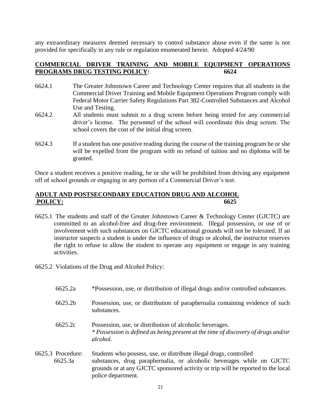any extraordinary measures deemed necessary to control substance abuse even if the same is not provided for specifically in any rule or regulation enumerated herein. Adopted 4/24/90

#### **COMMERCIAL DRIVER TRAINING AND MOBILE EQUIPMENT OPERATIONS PROGRAMS DRUG TESTING POLICY: 6624**

- 6624.1 The Greater Johnstown Career and Technology Center requires that all students in the Commercial Driver Training and Mobile Equipment Operations Program comply with Federal Motor Carrier Safety Regulations Part 382-Controlled Substances and Alcohol Use and Testing.
- 6624.2 All students must submit to a drug screen before being tested for any commercial driver's license. The personnel of the school will coordinate this drug screen. The school covers the cost of the initial drug screen.
- 6624.3 If a student has one positive reading during the course of the training program he or she will be expelled from the program with no refund of tuition and no diploma will be granted.

Once a student receives a positive reading, he or she will be prohibited from driving any equipment off of school grounds or engaging in any portion of a Commercial Driver's test.

#### **ADULT AND POSTSECONDARY EDUCATION DRUG AND ALCOHOL POLICY: 6625**

- 6625.1 The students and staff of the Greater Johnstown Career & Technology Center (GJCTC) are committed to an alcohol-free and drug-free environment. Illegal possession, or use of or involvement with such substances on GJCTC educational grounds will not be tolerated. If an instructor suspects a student is under the influence of drugs or alcohol, the instructor reserves the right to refuse to allow the student to operate any equipment or engage in any training activities.
- 6625.2 Violations of the Drug and Alcohol Policy:
	- 6625.2a \*Possession, use, or distribution of illegal drugs and/or controlled substances.
	- 6625.2b Possession, use, or distribution of paraphernalia containing evidence of such substances.
	- 6625.2c Possession, use, or distribution of alcoholic beverages. *\* Possession is defined as being present at the time of discovery of drugs and/or alcohol.*
- 6625.3 Procedure: Students who possess, use, or distribute illegal drugs, controlled 6625.3a substances, drug paraphernalia, or alcoholic beverages while on GJCTC grounds or at any GJCTC sponsored activity or trip will be reported to the local police department.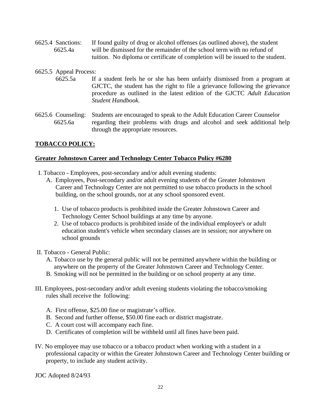- 6625.4 Sanctions: If found guilty of drug or alcohol offenses (as outlined above), the student 6625.4a will be dismissed for the remainder of the school term with no refund of tuition. No diploma or certificate of completion will be issued to the student.
- 6625.5 Appeal Process: 6625.5a If a student feels he or she has been unfairly dismissed from a program at GJCTC, the student has the right to file a grievance following the grievance procedure as outlined in the latest edition of the GJCTC *Adult Education Student Handbook.*
- 6625.6 Counseling: Students are encouraged to speak to the Adult Education Career Counselor 6625.6a regarding their problems with drugs and alcohol and seek additional help through the appropriate resources.

#### **TOBACCO POLICY:**

#### **Greater Johnstown Career and Technology Center Tobacco Policy #6280**

- I. Tobacco Employees, post-secondary and/or adult evening students:
	- A. Employees, Post-secondary and/or adult evening students of the Greater Johnstown Career and Technology Center are not permitted to use tobacco products in the school building, on the school grounds, nor at any school sponsored event.
		- 1. Use of tobacco products is prohibited inside the Greater Johnstown Career and Technology Center School buildings at any time by anyone.
		- 2. Use of tobacco products is prohibited inside of the individual employee's or adult education student's vehicle when secondary classes are in session; nor anywhere on school grounds
- II. Tobacco General Public:
	- A. Tobacco use by the general public will not be permitted anywhere within the building or anywhere on the property of the Greater Johnstown Career and Technology Center.
	- B. Smoking will not be permitted in the building or on school property at any time.
- III. Employees, post-secondary and/or adult evening students violating the tobacco/smoking rules shall receive the following:
	- A. First offense, \$25.00 fine or magistrate's office.
	- B. Second and further offense, \$50.00 fine each or district magistrate.
	- C. A court cost will accompany each fine.
	- D. Certificates of completion will be withheld until all fines have been paid.
- IV. No employee may use tobacco or a tobacco product when working with a student in a professional capacity or within the Greater Johnstown Career and Technology Center building or property, to include any student activity.

JOC Adopted 8/24/93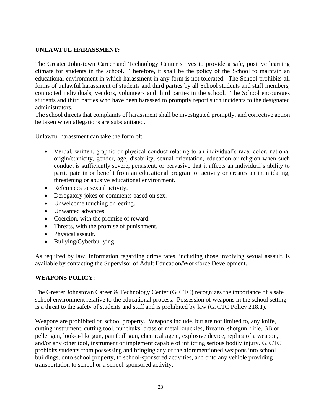# **UNLAWFUL HARASSMENT:**

The Greater Johnstown Career and Technology Center strives to provide a safe, positive learning climate for students in the school. Therefore, it shall be the policy of the School to maintain an educational environment in which harassment in any form is not tolerated. The School prohibits all forms of unlawful harassment of students and third parties by all School students and staff members, contracted individuals, vendors, volunteers and third parties in the school. The School encourages students and third parties who have been harassed to promptly report such incidents to the designated administrators.

The school directs that complaints of harassment shall be investigated promptly, and corrective action be taken when allegations are substantiated.

Unlawful harassment can take the form of:

- Verbal, written, graphic or physical conduct relating to an individual's race, color, national origin/ethnicity, gender, age, disability, sexual orientation, education or religion when such conduct is sufficiently severe, persistent, or pervasive that it affects an individual's ability to participate in or benefit from an educational program or activity or creates an intimidating, threatening or abusive educational environment.
- References to sexual activity.
- Derogatory jokes or comments based on sex.
- Unwelcome touching or leering.
- Unwanted advances.
- Coercion, with the promise of reward.
- Threats, with the promise of punishment.
- Physical assault.
- Bullying/Cyberbullying.

As required by law, information regarding crime rates, including those involving sexual assault, is available by contacting the Supervisor of Adult Education/Workforce Development.

#### **WEAPONS POLICY:**

The Greater Johnstown Career & Technology Center (GJCTC) recognizes the importance of a safe school environment relative to the educational process. Possession of weapons in the school setting is a threat to the safety of students and staff and is prohibited by law (GJCTC Policy 218.1).

Weapons are prohibited on school property. Weapons include, but are not limited to, any knife, cutting instrument, cutting tool, nunchuks, brass or metal knuckles, firearm, shotgun, rifle, BB or pellet gun, look-a-like gun, paintball gun, chemical agent, explosive device, replica of a weapon, and/or any other tool, instrument or implement capable of inflicting serious bodily injury. GJCTC prohibits students from possessing and bringing any of the aforementioned weapons into school buildings, onto school property, to school-sponsored activities, and onto any vehicle providing transportation to school or a school-sponsored activity.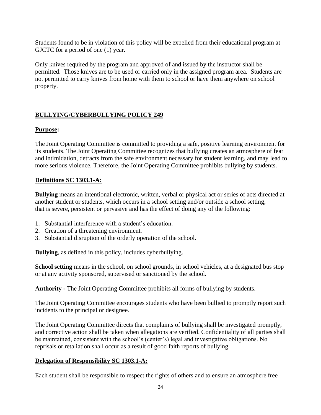Students found to be in violation of this policy will be expelled from their educational program at GJCTC for a period of one  $(1)$  year.

Only knives required by the program and approved of and issued by the instructor shall be permitted. Those knives are to be used or carried only in the assigned program area. Students are not permitted to carry knives from home with them to school or have them anywhere on school property.

#### **BULLYING/CYBERBULLYING POLICY 249**

#### **Purpose:**

The Joint Operating Committee is committed to providing a safe, positive learning environment for its students. The Joint Operating Committee recognizes that bullying creates an atmosphere of fear and intimidation, detracts from the safe environment necessary for student learning, and may lead to more serious violence. Therefore, the Joint Operating Committee prohibits bullying by students.

#### **Definitions SC 1303.1-A:**

**Bullying** means an intentional electronic, written, verbal or physical act or series of acts directed at another student or students, which occurs in a school setting and/or outside a school setting, that is severe, persistent or pervasive and has the effect of doing any of the following:

- 1. Substantial interference with a student's education.
- 2. Creation of a threatening environment.
- 3. Substantial disruption of the orderly operation of the school.

**Bullying**, as defined in this policy, includes cyberbullying.

School setting means in the school, on school grounds, in school vehicles, at a designated bus stop or at any activity sponsored, supervised or sanctioned by the school.

**Authority -** The Joint Operating Committee prohibits all forms of bullying by students.

The Joint Operating Committee encourages students who have been bullied to promptly report such incidents to the principal or designee.

The Joint Operating Committee directs that complaints of bullying shall be investigated promptly, and corrective action shall be taken when allegations are verified. Confidentiality of all parties shall be maintained, consistent with the school's (center's) legal and investigative obligations. No reprisals or retaliation shall occur as a result of good faith reports of bullying.

#### **Delegation of Responsibility SC 1303.1-A:**

Each student shall be responsible to respect the rights of others and to ensure an atmosphere free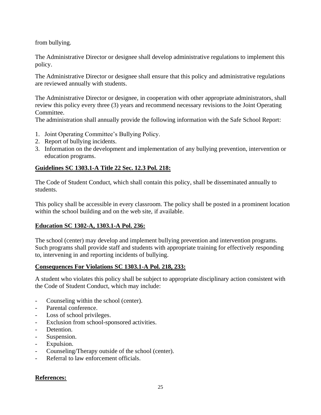from bullying.

The Administrative Director or designee shall develop administrative regulations to implement this policy.

The Administrative Director or designee shall ensure that this policy and administrative regulations are reviewed annually with students.

The Administrative Director or designee, in cooperation with other appropriate administrators, shall review this policy every three (3) years and recommend necessary revisions to the Joint Operating Committee.

The administration shall annually provide the following information with the Safe School Report:

- 1. Joint Operating Committee's Bullying Policy.
- 2. Report of bullying incidents.
- 3. Information on the development and implementation of any bullying prevention, intervention or education programs.

# **Guidelines SC 1303.1-A Title 22 Sec. 12.3 Pol. 218:**

The Code of Student Conduct, which shall contain this policy, shall be disseminated annually to students.

This policy shall be accessible in every classroom. The policy shall be posted in a prominent location within the school building and on the web site, if available.

#### **Education SC 1302-A, 1303.1-A Pol. 236:**

The school (center) may develop and implement bullying prevention and intervention programs. Such programs shall provide staff and students with appropriate training for effectively responding to, intervening in and reporting incidents of bullying.

#### **Consequences For Violations SC 1303.1-A Pol. 218, 233:**

A student who violates this policy shall be subject to appropriate disciplinary action consistent with the Code of Student Conduct, which may include:

- Counseling within the school (center).
- Parental conference.
- Loss of school privileges.
- Exclusion from school-sponsored activities.
- Detention.
- Suspension.
- Expulsion.
- Counseling/Therapy outside of the school (center).
- Referral to law enforcement officials.

#### **References:**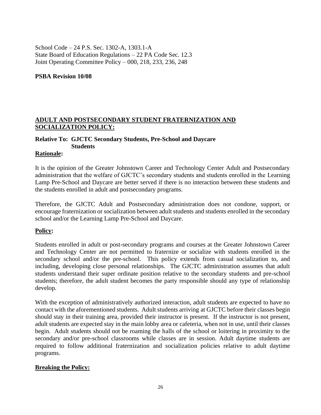School Code – 24 P.S. Sec. 1302-A, 1303.1-A State Board of Education Regulations – 22 PA Code Sec. 12.3 Joint Operating Committee Policy – 000, 218, 233, 236, 248

**PSBA Revision 10/08**

## **ADULT AND POSTSECONDARY STUDENT FRATERNIZATION AND SOCIALIZATION POLICY:**

# **Relative To: GJCTC Secondary Students, Pre-School and Daycare**

# **Students**

#### **Rationale:**

It is the opinion of the Greater Johnstown Career and Technology Center Adult and Postsecondary administration that the welfare of GJCTC's secondary students and students enrolled in the Learning Lamp Pre-School and Daycare are better served if there is no interaction between these students and the students enrolled in adult and postsecondary programs.

Therefore, the GJCTC Adult and Postsecondary administration does not condone, support, or encourage fraternization or socialization between adult students and students enrolled in the secondary school and/or the Learning Lamp Pre-School and Daycare.

#### **Policy:**

Students enrolled in adult or post-secondary programs and courses at the Greater Johnstown Career and Technology Center are not permitted to fraternize or socialize with students enrolled in the secondary school and/or the pre-school. This policy extends from casual socialization to, and including, developing close personal relationships. The GJCTC administration assumes that adult students understand their super ordinate position relative to the secondary students and pre-school students; therefore, the adult student becomes the party responsible should any type of relationship develop.

With the exception of administratively authorized interaction, adult students are expected to have no contact with the aforementioned students. Adult students arriving at GJCTC before their classes begin should stay in their training area, provided their instructor is present. If the instructor is not present, adult students are expected stay in the main lobby area or cafeteria, when not in use, until their classes begin. Adult students should not be roaming the halls of the school or loitering in proximity to the secondary and/or pre-school classrooms while classes are in session. Adult daytime students are required to follow additional fraternization and socialization policies relative to adult daytime programs.

#### **Breaking the Policy:**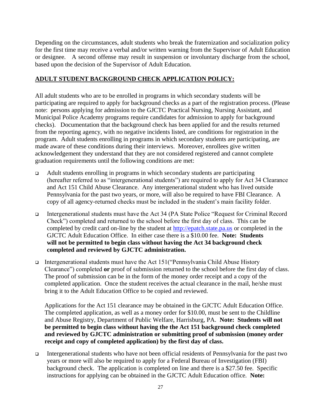Depending on the circumstances, adult students who break the fraternization and socialization policy for the first time may receive a verbal and/or written warning from the Supervisor of Adult Education or designee. A second offense may result in suspension or involuntary discharge from the school, based upon the decision of the Supervisor of Adult Education.

#### **ADULT STUDENT BACKGROUND CHECK APPLICATION POLICY:**

All adult students who are to be enrolled in programs in which secondary students will be participating are required to apply for background checks as a part of the registration process. (Please note: persons applying for admission to the GJCTC Practical Nursing, Nursing Assistant, and Municipal Police Academy programs require candidates for admission to apply for background checks). Documentation that the background check has been applied for and the results returned from the reporting agency, with no negative incidents listed, are conditions for registration in the program. Adult students enrolling in programs in which secondary students are participating, are made aware of these conditions during their interviews. Moreover, enrollees give written acknowledgement they understand that they are not considered registered and cannot complete graduation requirements until the following conditions are met:

- ❑ Adult students enrolling in programs in which secondary students are participating (hereafter referred to as "intergenerational students") are required to apply for Act 34 Clearance and Act 151 Child Abuse Clearance. Any intergenerational student who has lived outside Pennsylvania for the past two years, or more, will also be required to have FBI Clearance. A copy of all agency-returned checks must be included in the student's main facility folder. i<br>I
- ❑ Intergenerational students must have the Act 34 (PA State Police "Request for Criminal Record Check") completed and returned to the school before the first day of class. This can be completed by credit card on-line by the student at http://epatch.state.pa.us or completed in the GJCTC Adult Education Office. In either case there is a \$10.00 fee. **Note: Students will not be permitted to begin class without having the Act 34 background check completed and reviewed by GJCTC administration.**
- ❑ Intergenerational students must have the Act 151("Pennsylvania Child Abuse History Clearance") completed **or** proof of submission returned to the school before the first day of class. The proof of submission can be in the form of the money order receipt and a copy of the completed application. Once the student receives the actual clearance in the mail, he/she must bring it to the Adult Education Office to be copied and reviewed.

Applications for the Act 151 clearance may be obtained in the GJCTC Adult Education Office. The completed application, as well as a money order for \$10.00, must be sent to the Childline and Abuse Registry, Department of Public Welfare, Harrisburg, PA. **Note: Students will not be permitted to begin class without having the the Act 151 background check completed and reviewed by GJCTC administration or submitting proof of submission (money order receipt and copy of completed application) by the first day of class.**

❑ Intergenerational students who have not been official residents of Pennsylvania for the past two years or more will also be required to apply for a Federal Bureau of Investigation (FBI) background check. The application is completed on line and there is a \$27.50 fee. Specific instructions for applying can be obtained in the GJCTC Adult Education office. **Note:**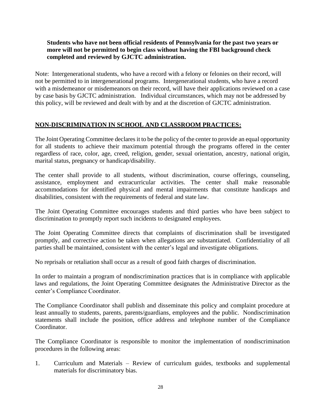#### **Students who have not been official residents of Pennsylvania for the past two years or more will not be permitted to begin class without having the FBI background check completed and reviewed by GJCTC administration.**

Note: Intergenerational students, who have a record with a felony or felonies on their record, will not be permitted to in intergenerational programs. Intergenerational students, who have a record with a misdemeanor or misdemeanors on their record, will have their applications reviewed on a case by case basis by GJCTC administration. Individual circumstances, which may not be addressed by this policy, will be reviewed and dealt with by and at the discretion of GJCTC administration.

#### **NON-DISCRIMINATION IN SCHOOL AND CLASSROOM PRACTICES:**

The Joint Operating Committee declares it to be the policy of the center to provide an equal opportunity for all students to achieve their maximum potential through the programs offered in the center regardless of race, color, age, creed, religion, gender, sexual orientation, ancestry, national origin, marital status, pregnancy or handicap/disability.

The center shall provide to all students, without discrimination, course offerings, counseling, assistance, employment and extracurricular activities. The center shall make reasonable accommodations for identified physical and mental impairments that constitute handicaps and disabilities, consistent with the requirements of federal and state law.

The Joint Operating Committee encourages students and third parties who have been subject to discrimination to promptly report such incidents to designated employees.

The Joint Operating Committee directs that complaints of discrimination shall be investigated promptly, and corrective action be taken when allegations are substantiated. Confidentiality of all parties shall be maintained, consistent with the center's legal and investigate obligations.

No reprisals or retaliation shall occur as a result of good faith charges of discrimination.

In order to maintain a program of nondiscrimination practices that is in compliance with applicable laws and regulations, the Joint Operating Committee designates the Administrative Director as the center's Compliance Coordinator.

The Compliance Coordinator shall publish and disseminate this policy and complaint procedure at least annually to students, parents, parents/guardians, employees and the public. Nondiscrimination statements shall include the position, office address and telephone number of the Compliance Coordinator.

The Compliance Coordinator is responsible to monitor the implementation of nondiscrimination procedures in the following areas:

1. Curriculum and Materials – Review of curriculum guides, textbooks and supplemental materials for discriminatory bias.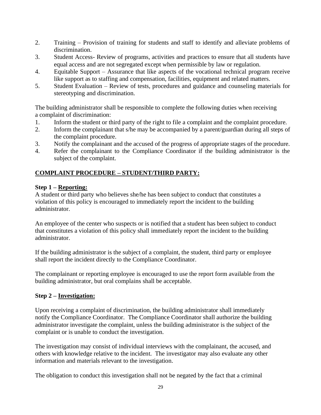- 2. Training Provision of training for students and staff to identify and alleviate problems of discrimination.
- 3. Student Access- Review of programs, activities and practices to ensure that all students have equal access and are not segregated except when permissible by law or regulation.
- 4. Equitable Support Assurance that like aspects of the vocational technical program receive like support as to staffing and compensation, facilities, equipment and related matters.
- 5. Student Evaluation Review of tests, procedures and guidance and counseling materials for stereotyping and discrimination.

The building administrator shall be responsible to complete the following duties when receiving a complaint of discrimination:

- 1. Inform the student or third party of the right to file a complaint and the complaint procedure.
- 2. Inform the complainant that s/he may be accompanied by a parent/guardian during all steps of the complaint procedure.
- 3. Notify the complainant and the accused of the progress of appropriate stages of the procedure.
- 4. Refer the complainant to the Compliance Coordinator if the building administrator is the subject of the complaint.

# **COMPLAINT PROCEDURE – STUDENT/THIRD PARTY:**

# **Step 1 – Reporting:**

A student or third party who believes she/he has been subject to conduct that constitutes a violation of this policy is encouraged to immediately report the incident to the building administrator.

An employee of the center who suspects or is notified that a student has been subject to conduct that constitutes a violation of this policy shall immediately report the incident to the building administrator.

If the building administrator is the subject of a complaint, the student, third party or employee shall report the incident directly to the Compliance Coordinator.

The complainant or reporting employee is encouraged to use the report form available from the building administrator, but oral complains shall be acceptable.

# **Step 2 – Investigation:**

Upon receiving a complaint of discrimination, the building administrator shall immediately notify the Compliance Coordinator. The Compliance Coordinator shall authorize the building administrator investigate the complaint, unless the building administrator is the subject of the complaint or is unable to conduct the investigation.

The investigation may consist of individual interviews with the complainant, the accused, and others with knowledge relative to the incident. The investigator may also evaluate any other information and materials relevant to the investigation.

The obligation to conduct this investigation shall not be negated by the fact that a criminal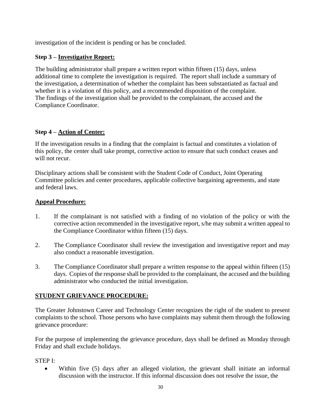investigation of the incident is pending or has be concluded.

#### **Step 3 – Investigative Report:**

The building administrator shall prepare a written report within fifteen (15) days, unless additional time to complete the investigation is required. The report shall include a summary of the investigation, a determination of whether the complaint has been substantiated as factual and whether it is a violation of this policy, and a recommended disposition of the complaint. The findings of the investigation shall be provided to the complainant, the accused and the Compliance Coordinator.

#### **Step 4 – Action of Center:**

If the investigation results in a finding that the complaint is factual and constitutes a violation of this policy, the center shall take prompt, corrective action to ensure that such conduct ceases and will not recur.

Disciplinary actions shall be consistent with the Student Code of Conduct, Joint Operating Committee policies and center procedures, applicable collective bargaining agreements, and state and federal laws.

#### **Appeal Procedure:**

- 1. If the complainant is not satisfied with a finding of no violation of the policy or with the corrective action recommended in the investigative report, s/he may submit a written appeal to the Compliance Coordinator within fifteen (15) days.
- 2. The Compliance Coordinator shall review the investigation and investigative report and may also conduct a reasonable investigation.
- 3. The Compliance Coordinator shall prepare a written response to the appeal within fifteen (15) days. Copies of the response shall be provided to the complainant, the accused and the building administrator who conducted the initial investigation.

#### **STUDENT GRIEVANCE PROCEDURE:**

The Greater Johnstown Career and Technology Center recognizes the right of the student to present complaints to the school. Those persons who have complaints may submit them through the following grievance procedure:

For the purpose of implementing the grievance procedure, days shall be defined as Monday through Friday and shall exclude holidays.

STEP I:

• Within five (5) days after an alleged violation, the grievant shall initiate an informal discussion with the instructor. If this informal discussion does not resolve the issue, the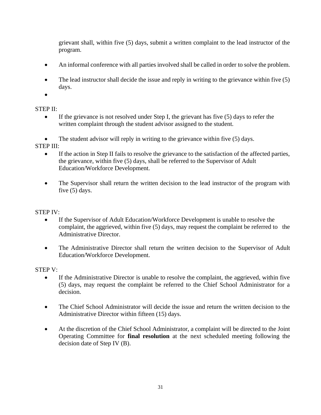grievant shall, within five (5) days, submit a written complaint to the lead instructor of the program.

- An informal conference with all parties involved shall be called in order to solve the problem.
- The lead instructor shall decide the issue and reply in writing to the grievance within five (5) days.
- •

# STEP II:

- If the grievance is not resolved under Step I, the grievant has five (5) days to refer the written complaint through the student advisor assigned to the student.
- The student advisor will reply in writing to the grievance within five (5) days. STEP III:
	- If the action in Step II fails to resolve the grievance to the satisfaction of the affected parties, the grievance, within five (5) days, shall be referred to the Supervisor of Adult Education/Workforce Development.
	- The Supervisor shall return the written decision to the lead instructor of the program with five (5) days.

#### STEP IV:

- If the Supervisor of Adult Education/Workforce Development is unable to resolve the complaint, the aggrieved, within five (5) days, may request the complaint be referred to the Administrative Director.
- The Administrative Director shall return the written decision to the Supervisor of Adult Education/Workforce Development.

#### STEP V:

- If the Administrative Director is unable to resolve the complaint, the aggrieved, within five (5) days, may request the complaint be referred to the Chief School Administrator for a decision.
- The Chief School Administrator will decide the issue and return the written decision to the Administrative Director within fifteen (15) days.
- At the discretion of the Chief School Administrator, a complaint will be directed to the Joint Operating Committee for **final resolution** at the next scheduled meeting following the decision date of Step IV (B).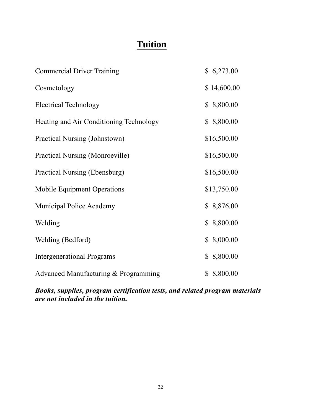# **Tuition**

| <b>Commercial Driver Training</b>       | \$6,273.00  |
|-----------------------------------------|-------------|
| Cosmetology                             | \$14,600.00 |
| <b>Electrical Technology</b>            | \$8,800.00  |
| Heating and Air Conditioning Technology | \$8,800.00  |
| Practical Nursing (Johnstown)           | \$16,500.00 |
| <b>Practical Nursing (Monroeville)</b>  | \$16,500.00 |
| <b>Practical Nursing (Ebensburg)</b>    | \$16,500.00 |
| Mobile Equipment Operations             | \$13,750.00 |
| <b>Municipal Police Academy</b>         | \$8,876.00  |
| Welding                                 | \$8,800.00  |
| Welding (Bedford)                       | \$8,000.00  |
| <b>Intergenerational Programs</b>       | \$8,800.00  |
| Advanced Manufacturing & Programming    | \$8,800.00  |

*Books, supplies, program certification tests, and related program materials are not included in the tuition.*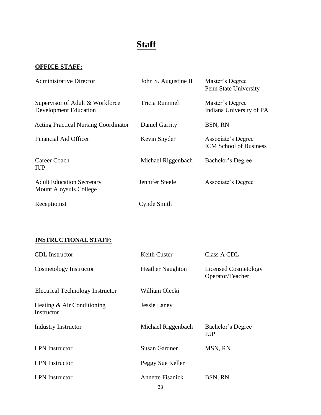# **Staff**

# **OFFICE STAFF:**

| <b>Administrative Director</b>                                  | John S. Augustine II | Master's Degree<br>Penn State University            |
|-----------------------------------------------------------------|----------------------|-----------------------------------------------------|
| Supervisor of Adult & Workforce<br><b>Development Education</b> | <b>Tricia Rummel</b> | Master's Degree<br>Indiana University of PA         |
| <b>Acting Practical Nursing Coordinator</b>                     | Daniel Garrity       | BSN, RN                                             |
| <b>Financial Aid Officer</b>                                    | Kevin Snyder         | Associate's Degree<br><b>ICM School of Business</b> |
| Career Coach<br><b>IUP</b>                                      | Michael Riggenbach   | Bachelor's Degree                                   |
| <b>Adult Education Secretary</b><br>Mount Aloysuis College      | Jennifer Steele      | Associate's Degree                                  |
| Receptionist                                                    | Cynde Smith          |                                                     |

# **INSTRUCTIONAL STAFF:**

| <b>CDL</b> Instructor                    | <b>Keith Custer</b>           | Class A CDL                                     |
|------------------------------------------|-------------------------------|-------------------------------------------------|
| Cosmetology Instructor                   | <b>Heather Naughton</b>       | <b>Licensed Cosmetology</b><br>Operator/Teacher |
| <b>Electrical Technology Instructor</b>  | William Olecki                |                                                 |
| Heating & Air Conditioning<br>Instructor | Jessie Laney                  |                                                 |
| <b>Industry Instructor</b>               | Michael Riggenbach            | Bachelor's Degree<br><b>IUP</b>                 |
| <b>LPN</b> Instructor                    | Susan Gardner                 | MSN, RN                                         |
| <b>LPN</b> Instructor                    | Peggy Sue Keller              |                                                 |
| <b>LPN</b> Instructor                    | <b>Annette Fisanick</b><br>22 | BSN, RN                                         |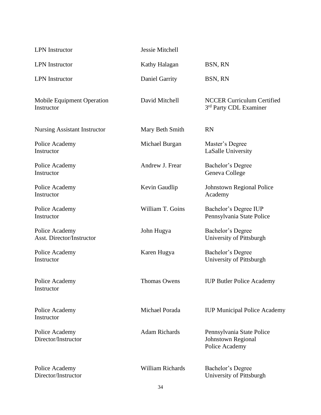| <b>LPN</b> Instructor                              | Jessie Mitchell         |                                                                          |  |
|----------------------------------------------------|-------------------------|--------------------------------------------------------------------------|--|
| <b>LPN</b> Instructor                              | Kathy Halagan           | BSN, RN                                                                  |  |
| <b>LPN</b> Instructor                              | <b>Daniel Garrity</b>   | BSN, RN                                                                  |  |
| <b>Mobile Equipment Operation</b><br>Instructor    | David Mitchell          | <b>NCCER Curriculum Certified</b><br>3rd Party CDL Examiner              |  |
| <b>Nursing Assistant Instructor</b>                | Mary Beth Smith         | <b>RN</b>                                                                |  |
| Police Academy<br>Instructor                       | Michael Burgan          | Master's Degree<br>LaSalle University                                    |  |
| Police Academy<br>Instructor                       | Andrew J. Frear         | Bachelor's Degree<br>Geneva College                                      |  |
| Police Academy<br>Instructor                       | Kevin Gaudlip           | <b>Johnstown Regional Police</b><br>Academy                              |  |
| Police Academy<br>Instructor                       | William T. Goins        | Bachelor's Degree IUP<br>Pennsylvania State Police                       |  |
| Police Academy<br><b>Asst. Director/Instructor</b> | John Hugya              | Bachelor's Degree<br>University of Pittsburgh                            |  |
| Police Academy<br>Instructor                       | Karen Hugya             | Bachelor's Degree<br>University of Pittsburgh                            |  |
| Police Academy<br>Instructor                       | <b>Thomas Owens</b>     | <b>IUP Butler Police Academy</b>                                         |  |
| Police Academy<br>Instructor                       | Michael Porada          | <b>IUP Municipal Police Academy</b>                                      |  |
| Police Academy<br>Director/Instructor              | <b>Adam Richards</b>    | Pennsylvania State Police<br><b>Johnstown Regional</b><br>Police Academy |  |
| Police Academy<br>Director/Instructor              | <b>William Richards</b> | Bachelor's Degree<br>University of Pittsburgh                            |  |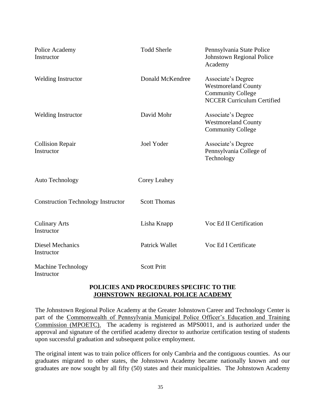| Police Academy<br>Instructor              | <b>Todd Sherle</b>    | Pennsylvania State Police<br>Johnstown Regional Police<br>Academy                                                 |
|-------------------------------------------|-----------------------|-------------------------------------------------------------------------------------------------------------------|
| <b>Welding Instructor</b>                 | Donald McKendree      | Associate's Degree<br><b>Westmoreland County</b><br><b>Community College</b><br><b>NCCER Curriculum Certified</b> |
| <b>Welding Instructor</b>                 | David Mohr            | Associate's Degree<br><b>Westmoreland County</b><br><b>Community College</b>                                      |
| <b>Collision Repair</b><br>Instructor     | <b>Joel Yoder</b>     | Associate's Degree<br>Pennsylvania College of<br>Technology                                                       |
| <b>Auto Technology</b>                    | <b>Corey Leahey</b>   |                                                                                                                   |
| <b>Construction Technology Instructor</b> | <b>Scott Thomas</b>   |                                                                                                                   |
| <b>Culinary Arts</b><br>Instructor        | Lisha Knapp           | Voc Ed II Certification                                                                                           |
| <b>Diesel Mechanics</b><br>Instructor     | <b>Patrick Wallet</b> | Voc Ed I Certificate                                                                                              |
| <b>Machine Technology</b><br>Instructor   | <b>Scott Pritt</b>    |                                                                                                                   |

#### **POLICIES AND PROCEDURES SPECIFIC TO THE JOHNSTOWN REGIONAL POLICE ACADEMY**

The Johnstown Regional Police Academy at the Greater Johnstown Career and Technology Center is part of the Commonwealth of Pennsylvania Municipal Police Officer's Education and Training Commission (MPOETC). The academy is registered as MPS0011, and is authorized under the approval and signature of the certified academy director to authorize certification testing of students upon successful graduation and subsequent police employment.

The original intent was to train police officers for only Cambria and the contiguous counties. As our graduates migrated to other states, the Johnstown Academy became nationally known and our graduates are now sought by all fifty (50) states and their municipalities. The Johnstown Academy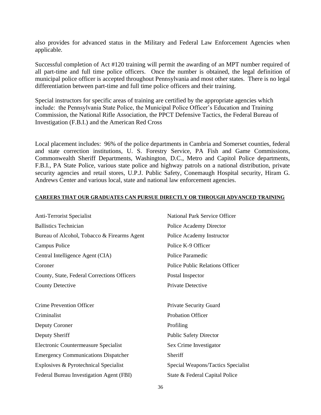also provides for advanced status in the Military and Federal Law Enforcement Agencies when applicable.

Successful completion of Act #120 training will permit the awarding of an MPT number required of all part-time and full time police officers. Once the number is obtained, the legal definition of municipal police officer is accepted throughout Pennsylvania and most other states. There is no legal differentiation between part-time and full time police officers and their training.

Special instructors for specific areas of training are certified by the appropriate agencies which include: the Pennsylvania State Police, the Municipal Police Officer's Education and Training Commission, the National Rifle Association, the PPCT Defensive Tactics, the Federal Bureau of Investigation (F.B.I.) and the American Red Cross.

Local placement includes: 96% of the police departments in Cambria and Somerset counties, federal and state correction institutions, U. S. Forestry Service, PA Fish and Game Commissions, Commonwealth Sheriff Departments, Washington, D.C., Metro and Capitol Police departments, F.B.I., PA State Police, various state police and highway patrols on a national distribution, private security agencies and retail stores, U.P.J. Public Safety, Conemaugh Hospital security, Hiram G. Andrews Center and various local, state and national law enforcement agencies.

#### **CAREERS THAT OUR GRADUATES CAN PURSUE DIRECTLY OR THROUGH ADVANCED TRAINING**

| <b>Anti-Terrorist Specialist</b>            | <b>National Park Service Officer</b>   |
|---------------------------------------------|----------------------------------------|
| <b>Ballistics Technician</b>                | Police Academy Director                |
| Bureau of Alcohol, Tobacco & Firearms Agent | Police Academy Instructor              |
| Campus Police                               | Police K-9 Officer                     |
| Central Intelligence Agent (CIA)            | Police Paramedic                       |
| Coroner                                     | <b>Police Public Relations Officer</b> |
| County, State, Federal Corrections Officers | Postal Inspector                       |
| <b>County Detective</b>                     | Private Detective                      |
| Crime Prevention Officer                    | Private Security Guard                 |
| Criminalist                                 | <b>Probation Officer</b>               |
| Deputy Coroner                              | Profiling                              |
| Deputy Sheriff                              | <b>Public Safety Director</b>          |
| Electronic Countermeasure Specialist        | Sex Crime Investigator                 |
| <b>Emergency Communications Dispatcher</b>  | Sheriff                                |
| Explosives & Pyrotechnical Specialist       | Special Weapons/Tactics Specialist     |
| Federal Bureau Investigation Agent (FBI)    | State & Federal Capital Police         |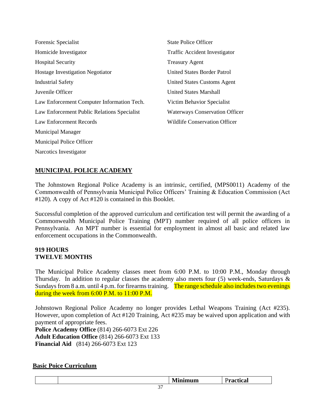| Forensic Specialist                         | <b>State Police Officer</b>           |
|---------------------------------------------|---------------------------------------|
| Homicide Investigator                       | Traffic Accident Investigator         |
| <b>Hospital Security</b>                    | <b>Treasury Agent</b>                 |
| <b>Hostage Investigation Negotiator</b>     | <b>United States Border Patrol</b>    |
| <b>Industrial Safety</b>                    | United States Customs Agent           |
| Juvenile Officer                            | <b>United States Marshall</b>         |
| Law Enforcement Computer Information Tech.  | Victim Behavior Specialist            |
| Law Enforcement Public Relations Specialist | <b>Waterways Conservation Officer</b> |
| Law Enforcement Records                     | Wildlife Conservation Officer         |
| <b>Municipal Manager</b>                    |                                       |
| Municipal Police Officer                    |                                       |

Narcotics Investigator

# **MUNICIPAL POLICE ACADEMY**

The Johnstown Regional Police Academy is an intrinsic, certified, (MPS0011) Academy of the Commonwealth of Pennsylvania Municipal Police Officers' Training & Education Commission (Act #120). A copy of Act #120 is contained in this Booklet.

Successful completion of the approved curriculum and certification test will permit the awarding of a Commonwealth Municipal Police Training (MPT) number required of all police officers in Pennsylvania. An MPT number is essential for employment in almost all basic and related law enforcement occupations in the Commonwealth.

# **919 HOURS TWELVE MONTHS**

The Municipal Police Academy classes meet from 6:00 P.M. to 10:00 P.M., Monday through Thursday. In addition to regular classes the academy also meets four (5) week-ends, Saturdays & Sundays from 8 a.m. until 4 p.m. for firearms training. The range schedule also includes two evenings during the week from 6:00 P.M. to 11:00 P.M.

Johnstown Regional Police Academy no longer provides Lethal Weapons Training (Act #235). However, upon completion of Act #120 Training, Act #235 may be waived upon application and with payment of appropriate fees.

**Police Academy Office** (814) 266-6073 Ext 226 **Adult Education Office** (814) 266-6073 Ext 133 **Financial Aid** (814) 266-6073 Ext 123

# **Basic Poice Curriculum**

|  | $\overline{\phantom{a}}$<br>. . | - -<br>a. |
|--|---------------------------------|-----------|
|  |                                 |           |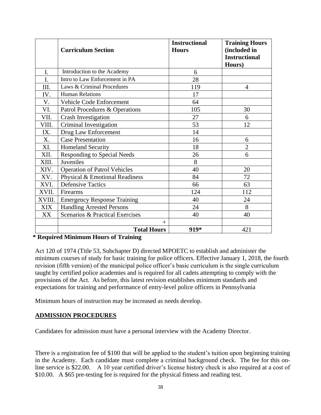|            | <b>Curriculum Section</b>                  | <b>Instructional</b><br><b>Hours</b> | <b>Training Hours</b><br>(included in<br><b>Instructional</b><br>Hours) |
|------------|--------------------------------------------|--------------------------------------|-------------------------------------------------------------------------|
| I.         | Introduction to the Academy                | 6                                    |                                                                         |
| I.         | Intro to Law Enforcement in PA             | 28                                   |                                                                         |
| III.       | Laws & Criminal Procedures                 | 119                                  | $\overline{4}$                                                          |
| IV.        | <b>Human Relations</b>                     | 17                                   |                                                                         |
| V.         | Vehicle Code Enforcement                   | 64                                   |                                                                         |
| VI.        | Patrol Procedures & Operations             | 105                                  | 30                                                                      |
| VII.       | <b>Crash Investigation</b>                 | 27                                   | 6                                                                       |
| VIII.      | Criminal Investigation                     | 53                                   | 12                                                                      |
| IX.        | Drug Law Enforcement                       | 14                                   |                                                                         |
| X.         | <b>Case Presentation</b>                   | 16                                   | 6                                                                       |
| XI.        | <b>Homeland Security</b>                   | 18                                   | $\overline{2}$                                                          |
| XII.       | <b>Responding to Special Needs</b>         | 26                                   | 6                                                                       |
| XIII.      | Juveniles                                  | 8                                    |                                                                         |
| XIV.       | <b>Operation of Patrol Vehicles</b>        | 40                                   | 20                                                                      |
| XV.        | Physical & Emotional Readiness             | 84                                   | 72                                                                      |
| XVI.       | <b>Defensive Tactics</b>                   | 66                                   | 63                                                                      |
| XVII.      | Firearms                                   | 124                                  | 112                                                                     |
| XVIII.     | <b>Emergency Response Training</b>         | 40                                   | 24                                                                      |
| <b>XIX</b> | <b>Handling Arrested Persons</b>           | 24                                   | 8                                                                       |
| XX         | <b>Scenarios &amp; Practical Exercises</b> | 40                                   | 40                                                                      |
|            | $+$                                        |                                      |                                                                         |
|            | <b>Total Hours</b>                         | 919*                                 | 421                                                                     |

#### **\* Required Minimum Hours of Training**

Act 120 of 1974 (Title 53, Subchapter D) directed MPOETC to establish and administer the minimum courses of study for basic training for police officers. Effective January 1, 2018, the fourth revision (fifth version) of the municipal police officer's basic curriculum is the single curriculum taught by certified police academies and is required for all cadets attempting to comply with the provisions of the Act. As before, this latest revision establishes minimum standards and expectations for training and performance of entry-level police officers in Pennsylvania

Minimum hours of instruction may be increased as needs develop.

#### **ADMISSION PROCEDURES**

Candidates for admission must have a personal interview with the Academy Director.

There is a registration fee of \$100 that will be applied to the student's tuition upon beginning training in the Academy. Each candidate must complete a criminal background check. The fee for this online service is \$22.00. A 10 year certified driver's license history check is also required at a cost of \$10.00. A \$65 pre-testing fee is required for the physical fitness and reading test.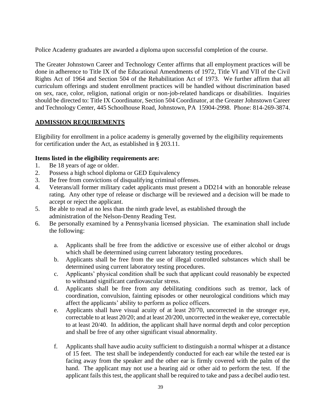Police Academy graduates are awarded a diploma upon successful completion of the course.

The Greater Johnstown Career and Technology Center affirms that all employment practices will be done in adherence to Title IX of the Educational Amendments of 1972, Title VI and VII of the Civil Rights Act of 1964 and Section 504 of the Rehabilitation Act of 1973. We further affirm that all curriculum offerings and student enrollment practices will be handled without discrimination based on sex, race, color, religion, national origin or non-job-related handicaps or disabilities. Inquiries should be directed to: Title IX Coordinator, Section 504 Coordinator, at the Greater Johnstown Career and Technology Center, 445 Schoolhouse Road, Johnstown, PA 15904-2998. Phone: 814-269-3874.

#### **ADMISSION REQUIREMENTS**

Eligibility for enrollment in a police academy is generally governed by the eligibility requirements for certification under the Act, as established in § 203.11.

#### **Items listed in the eligibility requirements are:**

- 1. Be 18 years of age or older.
- 2. Possess a high school diploma or GED Equivalency
- 3. Be free from convictions of disqualifying criminal offenses.
- 4. Veterans/all former military cadet applicants must present a DD214 with an honorable release rating. Any other type of release or discharge will be reviewed and a decision will be made to accept or reject the applicant.
- 5. Be able to read at no less than the ninth grade level, as established through the administration of the Nelson-Denny Reading Test.
- 6. Be personally examined by a Pennsylvania licensed physician. The examination shall include the following:
	- a. Applicants shall be free from the addictive or excessive use of either alcohol or drugs which shall be determined using current laboratory testing procedures.
	- b. Applicants shall be free from the use of illegal controlled substances which shall be determined using current laboratory testing procedures.
	- c. Applicants' physical condition shall be such that applicant could reasonably be expected to withstand significant cardiovascular stress.
	- d. Applicants shall be free from any debilitating conditions such as tremor, lack of coordination, convulsion, fainting episodes or other neurological conditions which may affect the applicants' ability to perform as police officers.
	- e. Applicants shall have visual acuity of at least 20/70, uncorrected in the stronger eye, correctable to at least 20/20; and at least 20/200, uncorrected in the weaker eye, correctable to at least 20/40. In addition, the applicant shall have normal depth and color perception and shall be free of any other significant visual abnormality.
	- f. Applicants shall have audio acuity sufficient to distinguish a normal whisper at a distance of 15 feet. The test shall be independently conducted for each ear while the tested ear is facing away from the speaker and the other ear is firmly covered with the palm of the hand. The applicant may not use a hearing aid or other aid to perform the test. If the applicant fails this test, the applicant shall be required to take and pass a decibel audio test.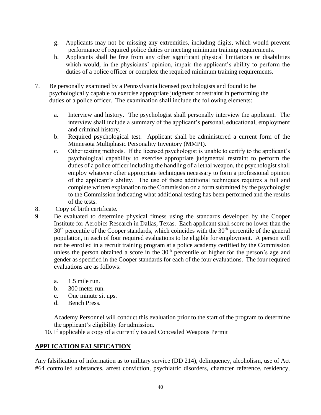- g. Applicants may not be missing any extremities, including digits, which would prevent performance of required police duties or meeting minimum training requirements.
- h. Applicants shall be free from any other significant physical limitations or disabilities which would, in the physicians' opinion, impair the applicant's ability to perform the duties of a police officer or complete the required minimum training requirements.
- 7. Be personally examined by a Pennsylvania licensed psychologists and found to be psychologically capable to exercise appropriate judgment or restraint in performing the duties of a police officer. The examination shall include the following elements:
	- a. Interview and history. The psychologist shall personally interview the applicant. The interview shall include a summary of the applicant's personal, educational, employment and criminal history.
	- b. Required psychological test. Applicant shall be administered a current form of the Minnesota Multiphasic Personality Inventory (MMPI).
	- c. Other testing methods. If the licensed psychologist is unable to certify to the applicant's psychological capability to exercise appropriate judgmental restraint to perform the duties of a police officer including the handling of a lethal weapon, the psychologist shall employ whatever other appropriate techniques necessary to form a professional opinion of the applicant's ability. The use of these additional techniques requires a full and complete written explanation to the Commission on a form submitted by the psychologist to the Commission indicating what additional testing has been performed and the results of the tests.
- 8. Copy of birth certificate.
- 9. Be evaluated to determine physical fitness using the standards developed by the Cooper Institute for Aerobics Research in Dallas, Texas. Each applicant shall score no lower than the  $30<sup>th</sup>$  percentile of the Cooper standards, which coincides with the  $30<sup>th</sup>$  percentile of the general population, in each of four required evaluations to be eligible for employment. A person will not be enrolled in a recruit training program at a police academy certified by the Commission unless the person obtained a score in the  $30<sup>th</sup>$  percentile or higher for the person's age and gender as specified in the Cooper standards for each of the four evaluations. The four required evaluations are as follows:
	- a. 1.5 mile run.
	- b. 300 meter run.
	- c. One minute sit ups.
	- d. Bench Press.

Academy Personnel will conduct this evaluation prior to the start of the program to determine the applicant's eligibility for admission.

10. If applicable a copy of a currently issued Concealed Weapons Permit

#### **APPLICATION FALSIFICATION**

Any falsification of information as to military service (DD 214), delinquency, alcoholism, use of Act #64 controlled substances, arrest conviction, psychiatric disorders, character reference, residency,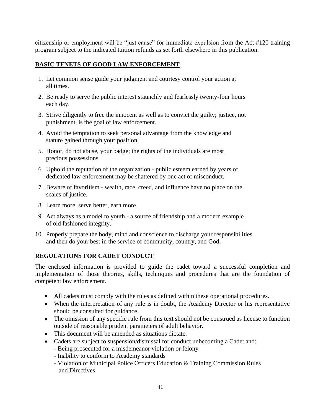citizenship or employment will be "just cause" for immediate expulsion from the Act #120 training program subject to the indicated tuition refunds as set forth elsewhere in this publication.

#### **BASIC TENETS OF GOOD LAW ENFORCEMENT**

- 1. Let common sense guide your judgment and courtesy control your action at all times.
- 2. Be ready to serve the public interest staunchly and fearlessly twenty-four hours each day.
- 3. Strive diligently to free the innocent as well as to convict the guilty; justice, not punishment, is the goal of law enforcement.
- 4. Avoid the temptation to seek personal advantage from the knowledge and stature gained through your position.
- 5. Honor, do not abuse, your badge; the rights of the individuals are most precious possessions.
- 6. Uphold the reputation of the organization public esteem earned by years of dedicated law enforcement may be shattered by one act of misconduct.
- 7. Beware of favoritism wealth, race, creed, and influence have no place on the scales of justice.
- 8. Learn more, serve better, earn more.
- 9. Act always as a model to youth a source of friendship and a modern example of old fashioned integrity.
- 10. Properly prepare the body, mind and conscience to discharge your responsibilities and then do your best in the service of community, country, and God**.**

#### **REGULATIONS FOR CADET CONDUCT**

The enclosed information is provided to guide the cadet toward a successful completion and implementation of those theories, skills, techniques and procedures that are the foundation of competent law enforcement.

- All cadets must comply with the rules as defined within these operational procedures.
- When the interpretation of any rule is in doubt, the Academy Director or his representative should be consulted for guidance.
- The omission of any specific rule from this text should not be construed as license to function outside of reasonable prudent parameters of adult behavior.
- This document will be amended as situations dictate.
- Cadets are subject to suspension/dismissal for conduct unbecoming a Cadet and:
	- Being prosecuted for a misdemeanor violation or felony
	- Inability to conform to Academy standards
	- Violation of Municipal Police Officers Education & Training Commission Rules and Directives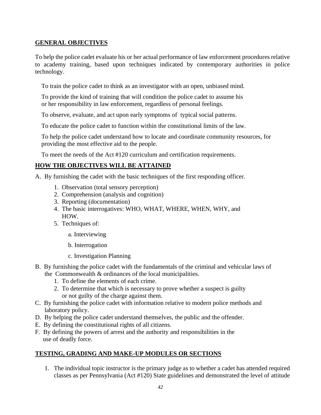#### **GENERAL OBJECTIVES**

To help the police cadet evaluate his or her actual performance of law enforcement procedures relative to academy training, based upon techniques indicated by contemporary authorities in police technology.

To train the police cadet to think as an investigator with an open, unbiased mind.

 To provide the kind of training that will condition the police cadet to assume his or her responsibility in law enforcement, regardless of personal feelings.

To observe, evaluate, and act upon early symptoms of typical social patterns.

To educate the police cadet to function within the constitutional limits of the law.

 To help the police cadet understand how to locate and coordinate community resources, for providing the most effective aid to the people.

To meet the needs of the Act #120 curriculum and certification requirements.

#### **HOW THE OBJECTIVES WILL BE ATTAINED**

A.By furnishing the cadet with the basic techniques of the first responding officer.

- 1. Observation (total sensory perception)
- 2. Comprehension (analysis and cognition)
- 3. Reporting (documentation)
- 4. The basic interrogatives: WHO, WHAT, WHERE, WHEN, WHY, and HOW.
- 5. Techniques of:
	- a. Interviewing
	- b. Interrogation
	- c. Investigation Planning
- B. By furnishing the police cadet with the fundamentals of the criminal and vehicular laws of the Commonwealth & ordinances of the local municipalities.
	- 1. To define the elements of each crime.
	- 2. To determine that which is necessary to prove whether a suspect is guilty or not guilty of the charge against them.
- C. By furnishing the police cadet with information relative to modern police methods and laboratory policy.
- D. By helping the police cadet understand themselves, the public and the offender.
- E. By defining the constitutional rights of all citizens.
- F. By defining the powers of arrest and the authority and responsibilities in the use of deadly force.

#### **TESTING, GRADING AND MAKE-UP MODULES OR SECTIONS**

1. The individual topic instructor is the primary judge as to whether a cadet has attended required classes as per Pennsylvania (Act #120) State guidelines and demonstrated the level of attitude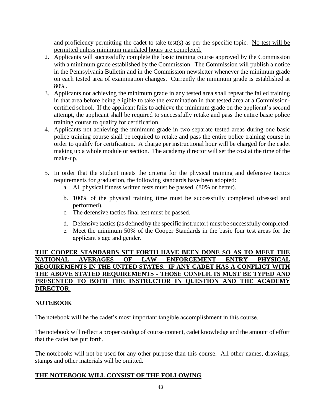and proficiency permitting the cadet to take test(s) as per the specific topic. No test will be permitted unless minimum mandated hours are completed.

- 2. Applicants will successfully complete the basic training course approved by the Commission with a minimum grade established by the Commission. The Commission will publish a notice in the Pennsylvania Bulletin and in the Commission newsletter whenever the minimum grade on each tested area of examination changes. Currently the minimum grade is established at 80%.
- 3. Applicants not achieving the minimum grade in any tested area shall repeat the failed training in that area before being eligible to take the examination in that tested area at a Commissioncertified school. If the applicant fails to achieve the minimum grade on the applicant's second attempt, the applicant shall be required to successfully retake and pass the entire basic police training course to qualify for certification.
- 4. Applicants not achieving the minimum grade in two separate tested areas during one basic police training course shall be required to retake and pass the entire police training course in order to qualify for certification. A charge per instructional hour will be charged for the cadet making up a whole module or section. The academy director will set the cost at the time of the make-up.
- 5. In order that the student meets the criteria for the physical training and defensive tactics requirements for graduation, the following standards have been adopted:
	- a. All physical fitness written tests must be passed. (80% or better).
	- b. 100% of the physical training time must be successfully completed (dressed and performed).
	- c. The defensive tactics final test must be passed.
	- d. Defensive tactics (as defined by the specific instructor) must be successfully completed.
	- e. Meet the minimum 50% of the Cooper Standards in the basic four test areas for the applicant's age and gender.

#### **THE COOPER STANDARDS SET FORTH HAVE BEEN DONE SO AS TO MEET THE NATIONAL AVERAGES OF LAW ENFORCEMENT ENTRY PHYSICAL REQUIREMENTS IN THE UNITED STATES. IF ANY CADET HAS A CONFLICT WITH THE ABOVE STATED REQUIREMENTS - THOSE CONFLICTS MUST BE TYPED AND PRESENTED TO BOTH THE INSTRUCTOR IN QUESTION AND THE ACADEMY DIRECTOR.**

#### **NOTEBOOK**

The notebook will be the cadet's most important tangible accomplishment in this course.

The notebook will reflect a proper catalog of course content, cadet knowledge and the amount of effort that the cadet has put forth.

The notebooks will not be used for any other purpose than this course. All other names, drawings, stamps and other materials will be omitted.

#### **THE NOTEBOOK WILL CONSIST OF THE FOLLOWING**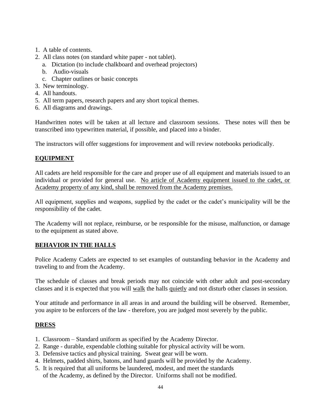- 1. A table of contents.
- 2. All class notes (on standard white paper not tablet).
	- a. Dictation (to include chalkboard and overhead projectors)
	- b. Audio-visuals
	- c. Chapter outlines or basic concepts
- 3. New terminology.
- 4. All handouts.
- 5. All term papers, research papers and any short topical themes.
- 6. All diagrams and drawings.

Handwritten notes will be taken at all lecture and classroom sessions. These notes will then be transcribed into typewritten material, if possible, and placed into a binder.

The instructors will offer suggestions for improvement and will review notebooks periodically.

#### **EQUIPMENT**

All cadets are held responsible for the care and proper use of all equipment and materials issued to an individual or provided for general use. No article of Academy equipment issued to the cadet, or Academy property of any kind, shall be removed from the Academy premises.

All equipment, supplies and weapons, supplied by the cadet or the cadet's municipality will be the responsibility of the cadet.

The Academy will not replace, reimburse, or be responsible for the misuse, malfunction, or damage to the equipment as stated above.

#### **BEHAVIOR IN THE HALLS**

Police Academy Cadets are expected to set examples of outstanding behavior in the Academy and traveling to and from the Academy.

The schedule of classes and break periods may not coincide with other adult and post-secondary classes and it is expected that you will walk the halls quietly and not disturb other classes in session.

Your attitude and performance in all areas in and around the building will be observed. Remember, you aspire to be enforcers of the law - therefore, you are judged most severely by the public.

#### **DRESS**

- 1. Classroom Standard uniform as specified by the Academy Director.
- 2. Range durable, expendable clothing suitable for physical activity will be worn.
- 3. Defensive tactics and physical training. Sweat gear will be worn.
- 4. Helmets, padded shirts, batons, and hand guards will be provided by the Academy.
- 5. It is required that all uniforms be laundered, modest, and meet the standards of the Academy, as defined by the Director. Uniforms shall not be modified.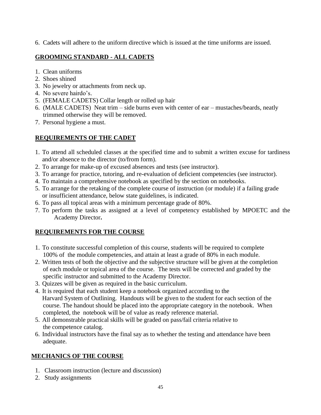6. Cadets will adhere to the uniform directive which is issued at the time uniforms are issued.

# **GROOMING STANDARD - ALL CADETS**

- 1. Clean uniforms
- 2. Shoes shined
- 3. No jewelry or attachments from neck up.
- 4. No severe hairdo's.
- 5. (FEMALE CADETS) Collar length or rolled up hair
- 6. (MALE CADETS) Neat trim side burns even with center of ear mustaches/beards, neatly trimmed otherwise they will be removed.
- 7. Personal hygiene a must.

# **REQUIREMENTS OF THE CADET**

- 1. To attend all scheduled classes at the specified time and to submit a written excuse for tardiness and/or absence to the director (to/from form).
- 2. To arrange for make-up of excused absences and tests (see instructor).
- 3. To arrange for practice, tutoring, and re-evaluation of deficient competencies (see instructor).
- 4. To maintain a comprehensive notebook as specified by the section on notebooks.
- 5. To arrange for the retaking of the complete course of instruction (or module) if a failing grade or insufficient attendance, below state guidelines, is indicated.
- 6. To pass all topical areas with a minimum percentage grade of 80%.
- 7. To perform the tasks as assigned at a level of competency established by MPOETC and the Academy Director**.**

# **REQUIREMENTS FOR THE COURSE**

- 1. To constitute successful completion of this course, students will be required to complete 100% of the module competencies, and attain at least a grade of 80% in each module.
- 2. Written tests of both the objective and the subjective structure will be given at the completion of each module or topical area of the course. The tests will be corrected and graded by the specific instructor and submitted to the Academy Director.
- 3. Quizzes will be given as required in the basic curriculum.
- 4. It is required that each student keep a notebook organized according to the Harvard System of Outlining. Handouts will be given to the student for each section of the course. The handout should be placed into the appropriate category in the notebook. When completed, the notebook will be of value as ready reference material.
- 5. All demonstrable practical skills will be graded on pass/fail criteria relative to the competence catalog.
- 6. Individual instructors have the final say as to whether the testing and attendance have been adequate.

# **MECHANICS OF THE COURSE**

- 1. Classroom instruction (lecture and discussion)
- 2. Study assignments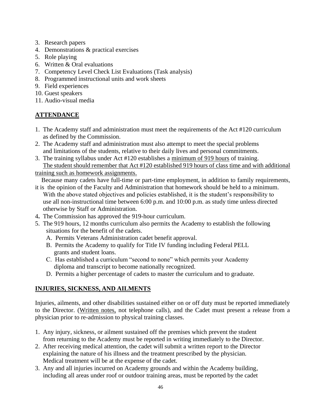- 3. Research papers
- 4. Demonstrations & practical exercises
- 5. Role playing
- 6. Written & Oral evaluations
- 7. Competency Level Check List Evaluations (Task analysis)
- 8. Programmed instructional units and work sheets
- 9. Field experiences
- 10. Guest speakers
- 11. Audio-visual media

# **ATTENDANCE**

- 1.The Academy staff and administration must meet the requirements of the Act #120 curriculum as defined by the Commission.
- 2. The Academy staff and administration must also attempt to meet the special problems and limitations of the students, relative to their daily lives and personal commitments.
- 3. The training syllabus under Act #120 establishes a minimum of 919 hours of training. The student should remember that Act #120 established 919 hours of class time and with additional
- training such as homework assignments.

Because many cadets have full-time or part-time employment, in addition to family requirements,

- it is the opinion of the Faculty and Administration that homework should be held to a minimum. With the above stated objectives and policies established, it is the student's responsibility to use all non-instructional time between 6:00 p.m. and 10:00 p.m. as study time unless directed otherwise by Staff or Administration.
- 4**.** The Commission has approved the 919-hour curriculum.
- 5. The 919 hours, 12 months curriculum also permits the Academy to establish the following situations for the benefit of the cadets.
	- A. Permits Veterans Administration cadet benefit approval.
	- B. Permits the Academy to qualify for Title IV funding including Federal PELL grants and student loans.
	- C. Has established a curriculum "second to none" which permits your Academy diploma and transcript to become nationally recognized.
	- D. Permits a higher percentage of cadets to master the curriculum and to graduate.

# **INJURIES, SICKNESS, AND AILMENTS**

Injuries, ailments, and other disabilities sustained either on or off duty must be reported immediately to the Director. (Written notes, not telephone calls), and the Cadet must present a release from a physician prior to re-admission to physical training classes.

- 1. Any injury, sickness, or ailment sustained off the premises which prevent the student from returning to the Academy must be reported in writing immediately to the Director.
- 2. After receiving medical attention, the cadet will submit a written report to the Director explaining the nature of his illness and the treatment prescribed by the physician. Medical treatment will be at the expense of the cadet.
- 3. Any and all injuries incurred on Academy grounds and within the Academy building, including all areas under roof or outdoor training areas, must be reported by the cadet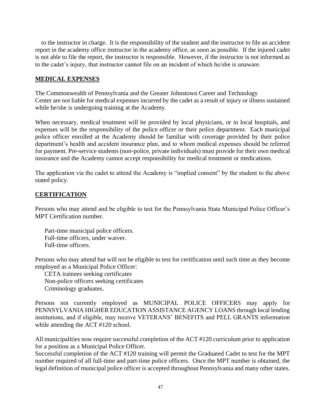to the instructor in charge. It is the responsibility of the student and the instructor to file an accident report in the academy office instructor in the academy office, as soon as possible. If the injured cadet is not able to file the report, the instructor is responsible. However, if the instructor is not informed as to the cadet's injury, that instructor cannot file on an incident of which he/she is unaware.

#### **MEDICAL EXPENSES**

The Commonwealth of Pennsylvania and the Greater Johnstown Career and Technology Center are not liable for medical expenses incurred by the cadet as a result of injury or illness sustained while he/she is undergoing training at the Academy.

When necessary, medical treatment will be provided by local physicians, or in local hospitals, and expenses will be the responsibility of the police officer or their police department. Each municipal police officer enrolled at the Academy should be familiar with coverage provided by their police department's health and accident insurance plan, and to whom medical expenses should be referred for payment. Pre-service students (non-police, private individuals) must provide for their own medical insurance and the Academy cannot accept responsibility for medical treatment or medications.

The application via the cadet to attend the Academy is "implied consent" by the student to the above stated policy.

#### **CERTIFICATION**

Persons who may attend and be eligible to test for the Pennsylvania State Municipal Police Officer's MPT Certification number.

Part-time municipal police officers. Full-time officers, under waiver. Full-time officers.

Persons who may attend but will not be eligible to test for certification until such time as they become employed as a Municipal Police Officer:

CETA trainees seeking certificates Non-police officers seeking certificates Criminology graduates.

Persons not currently employed as MUNICIPAL POLICE OFFICERS may apply for PENNSYLVANIA HIGHER EDUCATION ASSISTANCE AGENCY LOANS through local lending institutions, and if eligible, may receive VETERANS' BENEFITS and PELL GRANTS information while attending the ACT #120 school.

All municipalities now require successful completion of the ACT #120 curriculum prior to application for a position as a Municipal Police Officer.

Successful completion of the ACT #120 training will permit the Graduated Cadet to test for the MPT number required of all full-time and part-time police officers. Once the MPT number is obtained, the legal definition of municipal police officer is accepted throughout Pennsylvania and many other states.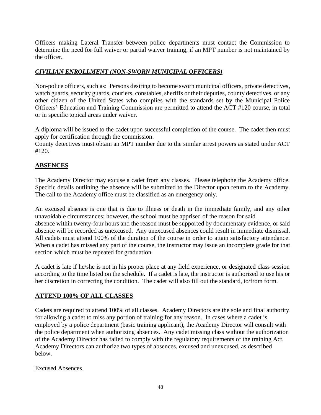Officers making Lateral Transfer between police departments must contact the Commission to determine the need for full waiver or partial waiver training, if an MPT number is not maintained by the officer.

## *CIVILIAN ENROLLMENT (NON-SWORN MUNICIPAL OFFICERS)*

Non-police officers, such as: Persons desiring to become sworn municipal officers, private detectives, watch guards, security guards, couriers, constables, sheriffs or their deputies, county detectives, or any other citizen of the United States who complies with the standards set by the Municipal Police Officers' Education and Training Commission are permitted to attend the ACT #120 course, in total or in specific topical areas under waiver.

A diploma will be issued to the cadet upon successful completion of the course. The cadet then must apply for certification through the commission.

County detectives must obtain an MPT number due to the similar arrest powers as stated under ACT #120.

# **ABSENCES**

The Academy Director may excuse a cadet from any classes. Please telephone the Academy office. Specific details outlining the absence will be submitted to the Director upon return to the Academy. The call to the Academy office must be classified as an emergency only.

An excused absence is one that is due to illness or death in the immediate family, and any other unavoidable circumstances; however, the school must be apprised of the reason for said absence within twenty-four hours and the reason must be supported by documentary evidence, or said absence will be recorded as unexcused. Any unexcused absences could result in immediate dismissal. All cadets must attend 100% of the duration of the course in order to attain satisfactory attendance. When a cadet has missed any part of the course, the instructor may issue an incomplete grade for that section which must be repeated for graduation.

A cadet is late if he/she is not in his proper place at any field experience, or designated class session according to the time listed on the schedule. If a cadet is late, the instructor is authorized to use his or her discretion in correcting the condition. The cadet will also fill out the standard, to/from form.

#### **ATTEND 100% OF ALL CLASSES**

Cadets are required to attend 100% of all classes. Academy Directors are the sole and final authority for allowing a cadet to miss any portion of training for any reason. In cases where a cadet is employed by a police department (basic training applicant), the Academy Director will consult with the police department when authorizing absences. Any cadet missing class without the authorization of the Academy Director has failed to comply with the regulatory requirements of the training Act. Academy Directors can authorize two types of absences, excused and unexcused, as described below.

#### Excused Absences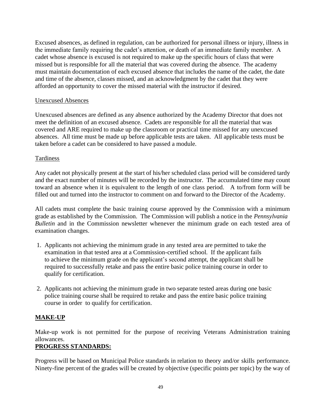Excused absences, as defined in regulation, can be authorized for personal illness or injury, illness in the immediate family requiring the cadet's attention, or death of an immediate family member. A cadet whose absence is excused is not required to make up the specific hours of class that were missed but is responsible for all the material that was covered during the absence. The academy must maintain documentation of each excused absence that includes the name of the cadet, the date and time of the absence, classes missed, and an acknowledgment by the cadet that they were afforded an opportunity to cover the missed material with the instructor if desired.

#### Unexcused Absences

Unexcused absences are defined as any absence authorized by the Academy Director that does not meet the definition of an excused absence. Cadets are responsible for all the material that was covered and ARE required to make up the classroom or practical time missed for any unexcused absences. All time must be made up before applicable tests are taken. All applicable tests must be taken before a cadet can be considered to have passed a module.

#### Tardiness

Any cadet not physically present at the start of his/her scheduled class period will be considered tardy and the exact number of minutes will be recorded by the instructor. The accumulated time may count toward an absence when it is equivalent to the length of one class period. A to/from form will be filled out and turned into the instructor to comment on and forward to the Director of the Academy.

All cadets must complete the basic training course approved by the Commission with a minimum grade as established by the Commission. The Commission will publish a notice in the *Pennsylvania Bulletin* and in the Commission newsletter whenever the minimum grade on each tested area of examination changes.

- 1. Applicants not achieving the minimum grade in any tested area are permitted to take the examination in that tested area at a Commission-certified school. If the applicant fails to achieve the minimum grade on the applicant's second attempt, the applicant shall be required to successfully retake and pass the entire basic police training course in order to qualify for certification.
- 2. Applicants not achieving the minimum grade in two separate tested areas during one basic police training course shall be required to retake and pass the entire basic police training course in order to qualify for certification.

#### **MAKE-UP**

Make-up work is not permitted for the purpose of receiving Veterans Administration training allowances.

#### **PROGRESS STANDARDS:**

Progress will be based on Municipal Police standards in relation to theory and/or skills performance. Ninety-fine percent of the grades will be created by objective (specific points per topic) by the way of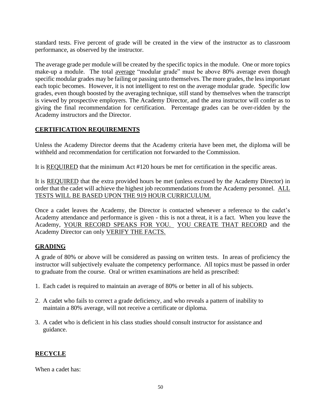standard tests. Five percent of grade will be created in the view of the instructor as to classroom performance, as observed by the instructor.

The average grade per module will be created by the specific topics in the module. One or more topics make-up a module. The total average "modular grade" must be above 80% average even though specific modular grades may be failing or passing unto themselves. The more grades, the less important each topic becomes. However, it is not intelligent to rest on the average modular grade. Specific low grades, even though boosted by the averaging technique, still stand by themselves when the transcript is viewed by prospective employers. The Academy Director, and the area instructor will confer as to giving the final recommendation for certification. Percentage grades can be over-ridden by the Academy instructors and the Director.

#### **CERTIFICATION REQUIREMENTS**

Unless the Academy Director deems that the Academy criteria have been met, the diploma will be withheld and recommendation for certification not forwarded to the Commission.

It is REQUIRED that the minimum Act #120 hours be met for certification in the specific areas.

It is REQUIRED that the extra provided hours be met (unless excused by the Academy Director) in order that the cadet will achieve the highest job recommendations from the Academy personnel. ALL TESTS WILL BE BASED UPON THE 919 HOUR CURRICULUM.

Once a cadet leaves the Academy, the Director is contacted whenever a reference to the cadet's Academy attendance and performance is given - this is not a threat, it is a fact. When you leave the Academy, YOUR RECORD SPEAKS FOR YOU. YOU CREATE THAT RECORD and the Academy Director can only VERIFY THE FACTS.

#### **GRADING**

A grade of 80% or above will be considered as passing on written tests. In areas of proficiency the instructor will subjectively evaluate the competency performance. All topics must be passed in order to graduate from the course. Oral or written examinations are held as prescribed:

- 1. Each cadet is required to maintain an average of 80% or better in all of his subjects.
- 2. A cadet who fails to correct a grade deficiency, and who reveals a pattern of inability to maintain a 80% average, will not receive a certificate or diploma.
- 3. A cadet who is deficient in his class studies should consult instructor for assistance and guidance.

#### **RECYCLE**

When a cadet has: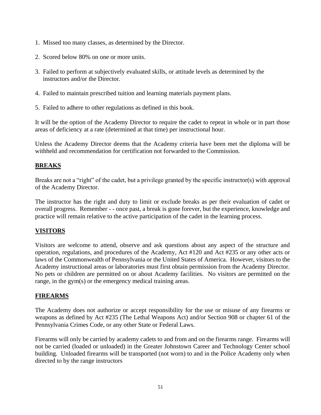- 1. Missed too many classes, as determined by the Director.
- 2. Scored below 80% on one or more units.
- 3. Failed to perform at subjectively evaluated skills, or attitude levels as determined by the instructors and/or the Director.
- 4. Failed to maintain prescribed tuition and learning materials payment plans.
- 5. Failed to adhere to other regulations as defined in this book.

It will be the option of the Academy Director to require the cadet to repeat in whole or in part those areas of deficiency at a rate (determined at that time) per instructional hour.

Unless the Academy Director deems that the Academy criteria have been met the diploma will be withheld and recommendation for certification not forwarded to the Commission.

# **BREAKS**

Breaks are not a "right" of the cadet, but a privilege granted by the specific instructor(s) with approval of the Academy Director.

The instructor has the right and duty to limit or exclude breaks as per their evaluation of cadet or overall progress. Remember - - once past, a break is gone forever, but the experience, knowledge and practice will remain relative to the active participation of the cadet in the learning process.

# **VISITORS**

Visitors are welcome to attend, observe and ask questions about any aspect of the structure and operation, regulations, and procedures of the Academy, Act #120 and Act #235 or any other acts or laws of the Commonwealth of Pennsylvania or the United States of America. However, visitors to the Academy instructional areas or laboratories must first obtain permission from the Academy Director. No pets or children are permitted on or about Academy facilities. No visitors are permitted on the range, in the gym(s) or the emergency medical training areas.

# **FIREARMS**

The Academy does not authorize or accept responsibility for the use or misuse of any firearms or weapons as defined by Act #235 (The Lethal Weapons Act) and/or Section 908 or chapter 61 of the Pennsylvania Crimes Code, or any other State or Federal Laws.

Firearms will only be carried by academy cadets to and from and on the firearms range. Firearms will not be carried (loaded or unloaded) in the Greater Johnstown Career and Technology Center school building. Unloaded firearms will be transported (not worn) to and in the Police Academy only when directed to by the range instructors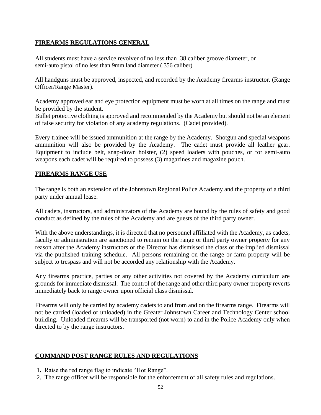# **FIREARMS REGULATIONS GENERAL**

All students must have a service revolver of no less than .38 caliber groove diameter, or semi-auto pistol of no less than 9mm land diameter (.356 caliber)

All handguns must be approved, inspected, and recorded by the Academy firearms instructor. (Range Officer/Range Master).

Academy approved ear and eye protection equipment must be worn at all times on the range and must be provided by the student.

Bullet protective clothing is approved and recommended by the Academy but should not be an element of false security for violation of any academy regulations. (Cadet provided).

Every trainee will be issued ammunition at the range by the Academy. Shotgun and special weapons ammunition will also be provided by the Academy. The cadet must provide all leather gear. Equipment to include belt, snap-down holster, (2) speed loaders with pouches, or for semi-auto weapons each cadet will be required to possess (3) magazines and magazine pouch.

#### **FIREARMS RANGE USE**

The range is both an extension of the Johnstown Regional Police Academy and the property of a third party under annual lease.

All cadets, instructors, and administrators of the Academy are bound by the rules of safety and good conduct as defined by the rules of the Academy and are guests of the third party owner.

With the above understandings, it is directed that no personnel affiliated with the Academy, as cadets, faculty or administration are sanctioned to remain on the range or third party owner property for any reason after the Academy instructors or the Director has dismissed the class or the implied dismissal via the published training schedule. All persons remaining on the range or farm property will be subject to trespass and will not be accorded any relationship with the Academy.

Any firearms practice, parties or any other activities not covered by the Academy curriculum are grounds for immediate dismissal. The control of the range and other third party owner property reverts immediately back to range owner upon official class dismissal.

Firearms will only be carried by academy cadets to and from and on the firearms range. Firearms will not be carried (loaded or unloaded) in the Greater Johnstown Career and Technology Center school building. Unloaded firearms will be transported (not worn) to and in the Police Academy only when directed to by the range instructors.

#### **COMMAND POST RANGE RULES AND REGULATIONS**

- 1**.** Raise the red range flag to indicate "Hot Range".
- 2. The range officer will be responsible for the enforcement of all safety rules and regulations.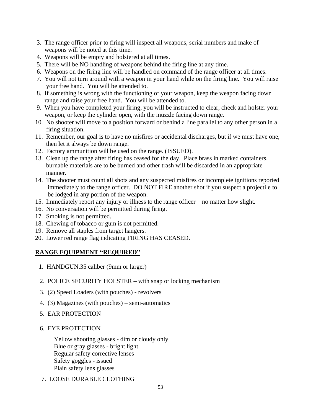- 3. The range officer prior to firing will inspect all weapons, serial numbers and make of weapons will be noted at this time.
- 4. Weapons will be empty and holstered at all times.
- 5. There will be NO handling of weapons behind the firing line at any time.
- 6. Weapons on the firing line will be handled on command of the range officer at all times.
- 7. You will not turn around with a weapon in your hand while on the firing line. You will raise your free hand. You will be attended to.
- 8. If something is wrong with the functioning of your weapon, keep the weapon facing down range and raise your free hand. You will be attended to.
- 9. When you have completed your firing, you will be instructed to clear, check and holster your weapon, or keep the cylinder open, with the muzzle facing down range.
- 10. No shooter will move to a position forward or behind a line parallel to any other person in a firing situation.
- 11. Remember, our goal is to have no misfires or accidental discharges, but if we must have one, then let it always be down range.
- 12. Factory ammunition will be used on the range. (ISSUED).
- 13. Clean up the range after firing has ceased for the day. Place brass in marked containers, burnable materials are to be burned and other trash will be discarded in an appropriate manner.
- 14. The shooter must count all shots and any suspected misfires or incomplete ignitions reported immediately to the range officer. DO NOT FIRE another shot if you suspect a projectile to be lodged in any portion of the weapon.
- 15. Immediately report any injury or illness to the range officer no matter how slight.
- 16. No conversation will be permitted during firing.
- 17. Smoking is not permitted.
- 18. Chewing of tobacco or gum is not permitted.
- 19. Remove all staples from target hangers.
- 20. Lower red range flag indicating FIRING HAS CEASED.

#### **RANGE EQUIPMENT "REQUIRED"**

- 1. HANDGUN.35 caliber (9mm or larger)
- 2. POLICE SECURITY HOLSTER with snap or locking mechanism
- 3. (2) Speed Loaders (with pouches) revolvers
- 4. (3) Magazines (with pouches) semi-automatics
- 5. EAR PROTECTION
- 6. EYE PROTECTION

Yellow shooting glasses - dim or cloudy only Blue or gray glasses - bright light Regular safety corrective lenses Safety goggles - issued Plain safety lens glasses

7. LOOSE DURABLE CLOTHING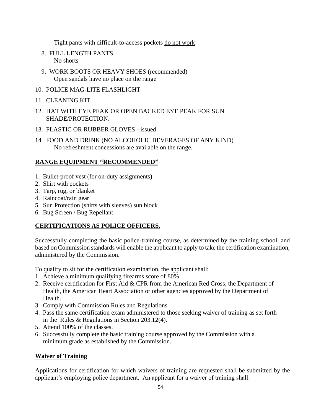Tight pants with difficult-to-access pockets do not work

- 8. FULL LENGTH PANTS No shorts
- 9. WORK BOOTS OR HEAVY SHOES (recommended) Open sandals have no place on the range
- 10. POLICE MAG-LITE FLASHLIGHT
- 11. CLEANING KIT
- 12. HAT WITH EYE PEAK OR OPEN BACKED EYE PEAK FOR SUN SHADE/PROTECTION.
- 13. PLASTIC OR RUBBER GLOVES issued
- 14. FOOD AND DRINK (NO ALCOHOLIC BEVERAGES OF ANY KIND) No refreshment concessions are available on the range.

# **RANGE EQUIPMENT "RECOMMENDED"**

- 1. Bullet-proof vest (for on-duty assignments)
- 2. Shirt with pockets
- 3. Tarp, rug, or blanket
- 4. Raincoat/rain gear
- 5. Sun Protection (shirts with sleeves) sun block
- 6. Bug Screen / Bug Repellant

# **CERTIFICATIONS AS POLICE OFFICERS.**

Successfully completing the basic police-training course, as determined by the training school, and based on Commission standards will enable the applicant to apply to take the certification examination, administered by the Commission.

To qualify to sit for the certification examination, the applicant shall:

- 1. Achieve a minimum qualifying firearms score of 80%
- 2. Receive certification for First Aid & CPR from the American Red Cross, the Department of Health, the American Heart Association or other agencies approved by the Department of Health.
- 3. Comply with Commission Rules and Regulations
- 4. Pass the same certification exam administered to those seeking waiver of training as set forth in the Rules & Regulations in Section 203.12(4).
- 5. Attend 100% of the classes.
- 6. Successfully complete the basic training course approved by the Commission with a minimum grade as established by the Commission.

# **Waiver of Training**

Applications for certification for which waivers of training are requested shall be submitted by the applicant's employing police department. An applicant for a waiver of training shall: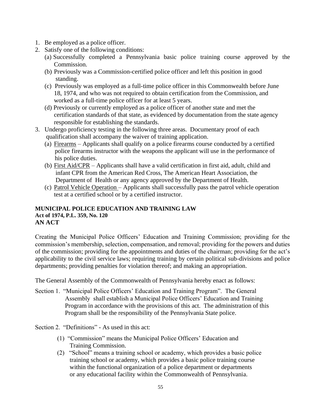- 1. Be employed as a police officer.
- 2. Satisfy one of the following conditions:
	- (a) Successfully completed a Pennsylvania basic police training course approved by the Commission.
	- (b) Previously was a Commission-certified police officer and left this position in good standing.
	- (c) Previously was employed as a full-time police officer in this Commonwealth before June 18, 1974, and who was not required to obtain certification from the Commission, and worked as a full-time police officer for at least 5 years.
	- (d) Previously or currently employed as a police officer of another state and met the certification standards of that state, as evidenced by documentation from the state agency responsible for establishing the standards.
- 3. Undergo proficiency testing in the following three areas. Documentary proof of each qualification shall accompany the waiver of training application.
	- (a) Firearms Applicants shall qualify on a police firearms course conducted by a certified police firearms instructor with the weapons the applicant will use in the performance of his police duties.
	- (b) First Aid/CPR Applicants shall have a valid certification in first aid, adult, child and infant CPR from the American Red Cross, The American Heart Association, the Department of Health or any agency approved by the Department of Health.
	- (c) Patrol Vehicle Operation Applicants shall successfully pass the patrol vehicle operation test at a certified school or by a certified instructor.

#### **MUNICIPAL POLICE EDUCATION AND TRAINING LAW Act of 1974, P.L. 359, No. 120 AN ACT**

Creating the Municipal Police Officers' Education and Training Commission; providing for the commission's membership, selection, compensation, and removal; providing for the powers and duties of the commission; providing for the appointments and duties of the chairman; providing for the act's applicability to the civil service laws; requiring training by certain political sub-divisions and police departments; providing penalties for violation thereof; and making an appropriation.

The General Assembly of the Commonwealth of Pennsylvania hereby enact as follows:

Section 1. "Municipal Police Officers' Education and Training Program". The General Assembly shall establish a Municipal Police Officers' Education and Training Program in accordance with the provisions of this act. The administration of this Program shall be the responsibility of the Pennsylvania State police.

Section 2. "Definitions" - As used in this act:

- (1) "Commission" means the Municipal Police Officers' Education and Training Commission.
- (2) "School" means a training school or academy, which provides a basic police training school or academy, which provides a basic police training course within the functional organization of a police department or departments or any educational facility within the Commonwealth of Pennsylvania.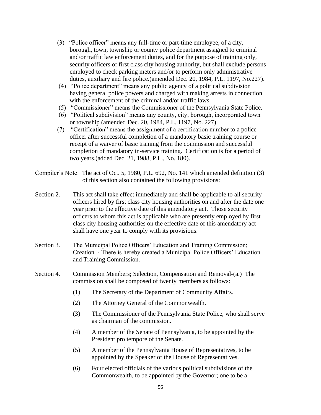- (3) "Police officer" means any full-time or part-time employee, of a city, borough, town, township or county police department assigned to criminal and/or traffic law enforcement duties, and for the purpose of training only, security officers of first class city housing authority, but shall exclude persons employed to check parking meters and/or to perform only administrative duties, auxiliary and fire police.(amended Dec. 20, 1984, P.L. 1197, No.227).
- (4) "Police department" means any public agency of a political subdivision having general police powers and charged with making arrests in connection with the enforcement of the criminal and/or traffic laws.
- (5) "Commissioner" means the Commissioner of the Pennsylvania State Police.
- (6) "Political subdivision" means any county, city, borough, incorporated town or township (amended Dec. 20, 1984, P.L. 1197, No. 227).
- (7) "Certification" means the assignment of a certification number to a police officer after successful completion of a mandatory basic training course or receipt of a waiver of basic training from the commission and successful completion of mandatory in-service training. Certification is for a period of two years.(added Dec. 21, 1988, P.L., No. 180).

Compiler's Note: The act of Oct. 5, 1980, P.L. 692, No. 141 which amended definition (3) of this section also contained the following provisions:

- Section 2. This act shall take effect immediately and shall be applicable to all security officers hired by first class city housing authorities on and after the date one year prior to the effective date of this amendatory act. Those security officers to whom this act is applicable who are presently employed by first class city housing authorities on the effective date of this amendatory act shall have one year to comply with its provisions.
- Section 3. The Municipal Police Officers' Education and Training Commission; Creation. - There is hereby created a Municipal Police Officers' Education and Training Commission.
- Section 4. Commission Members; Selection, Compensation and Removal-(a.) The commission shall be composed of twenty members as follows:
	- (1) The Secretary of the Department of Community Affairs.
	- (2) The Attorney General of the Commonwealth.
	- (3) The Commissioner of the Pennsylvania State Police, who shall serve as chairman of the commission.
	- (4) A member of the Senate of Pennsylvania, to be appointed by the President pro tempore of the Senate.
	- (5) A member of the Pennsylvania House of Representatives, to be appointed by the Speaker of the House of Representatives.
	- (6) Four elected officials of the various political subdivisions of the Commonwealth, to be appointed by the Governor; one to be a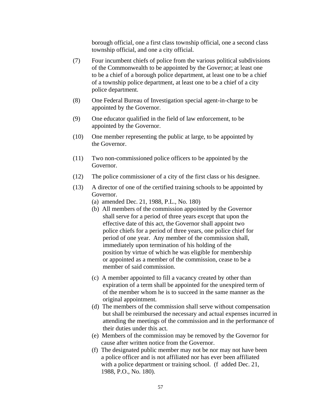borough official, one a first class township official, one a second class township official, and one a city official.

- (7) Four incumbent chiefs of police from the various political subdivisions of the Commonwealth to be appointed by the Governor; at least one to be a chief of a borough police department, at least one to be a chief of a township police department, at least one to be a chief of a city police department.
- (8) One Federal Bureau of Investigation special agent-in-charge to be appointed by the Governor.
- (9) One educator qualified in the field of law enforcement, to be appointed by the Governor.
- (10) One member representing the public at large, to be appointed by the Governor.
- (11) Two non-commissioned police officers to be appointed by the Governor.
- (12) The police commissioner of a city of the first class or his designee.
- (13) A director of one of the certified training schools to be appointed by Governor.
	- (a) amended Dec. 21, 1988, P.L., No. 180)
	- (b) All members of the commission appointed by the Governor shall serve for a period of three years except that upon the effective date of this act, the Governor shall appoint two police chiefs for a period of three years, one police chief for period of one year. Any member of the commission shall, immediately upon termination of his holding of the position by virtue of which he was eligible for membership or appointed as a member of the commission, cease to be a member of said commission.
	- (c) A member appointed to fill a vacancy created by other than expiration of a term shall be appointed for the unexpired term of of the member whom he is to succeed in the same manner as the original appointment.
	- (d) The members of the commission shall serve without compensation but shall be reimbursed the necessary and actual expenses incurred in attending the meetings of the commission and in the performance of their duties under this act.
	- (e) Members of the commission may be removed by the Governor for cause after written notice from the Governor.
	- (f) The designated public member may not be nor may not have been a police officer and is not affiliated nor has ever been affiliated with a police department or training school. (f added Dec. 21, 1988, P.O., No. 180).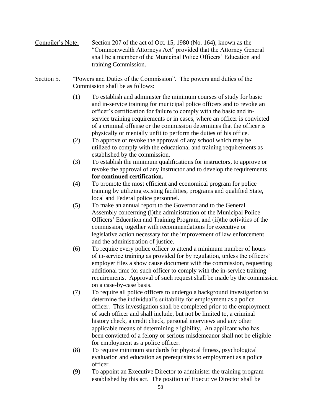- Compiler's Note: Section 207 of the act of Oct. 15, 1980 (No. 164), known as the "Commonwealth Attorneys Act" provided that the Attorney General shall be a member of the Municipal Police Officers' Education and training Commission.
- Section 5. "Powers and Duties of the Commission". The powers and duties of the Commission shall be as follows:
	- (1) To establish and administer the minimum courses of study for basic and in-service training for municipal police officers and to revoke an officer's certification for failure to comply with the basic and inservice training requirements or in cases, where an officer is convicted of a criminal offense or the commission determines that the officer is physically or mentally unfit to perform the duties of his office.
	- (2) To approve or revoke the approval of any school which may be utilized to comply with the educational and training requirements as established by the commission.
	- (3) To establish the minimum qualifications for instructors, to approve or revoke the approval of any instructor and to develop the requirements **for continued certification.**
	- (4) To promote the most efficient and economical program for police training by utilizing existing facilities, programs and qualified State, local and Federal police personnel.
	- (5) To make an annual report to the Governor and to the General Assembly concerning (i)the administration of the Municipal Police Officers' Education and Training Program, and (ii)the activities of the commission, together with recommendations for executive or legislative action necessary for the improvement of law enforcement and the administration of justice.
	- (6) To require every police officer to attend a minimum number of hours of in-service training as provided for by regulation, unless the officers' employer files a show cause document with the commission, requesting additional time for such officer to comply with the in-service training requirements. Approval of such request shall be made by the commission on a case-by-case basis.
	- (7) To require all police officers to undergo a background investigation to determine the individual's suitability for employment as a police officer. This investigation shall be completed prior to the employment of such officer and shall include, but not be limited to, a criminal history check, a credit check, personal interviews and any other applicable means of determining eligibility. An applicant who has been convicted of a felony or serious misdemeanor shall not be eligible for employment as a police officer.
	- (8) To require minimum standards for physical fitness, psychological evaluation and education as prerequisites to employment as a police officer.
	- (9) To appoint an Executive Director to administer the training program established by this act. The position of Executive Director shall be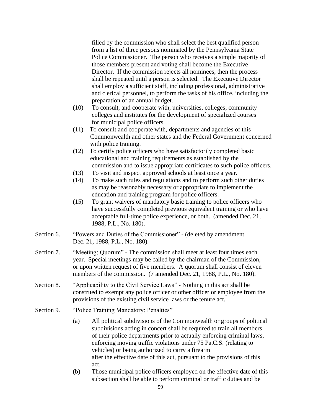filled by the commission who shall select the best qualified person from a list of three persons nominated by the Pennsylvania State Police Commissioner. The person who receives a simple majority of those members present and voting shall become the Executive Director. If the commission rejects all nominees, then the process shall be repeated until a person is selected. The Executive Director shall employ a sufficient staff, including professional, administrative and clerical personnel, to perform the tasks of his office, including the preparation of an annual budget.

- (10) To consult, and cooperate with, universities, colleges, community colleges and institutes for the development of specialized courses for municipal police officers.
- (11) To consult and cooperate with, departments and agencies of this Commonwealth and other states and the Federal Government concerned with police training.
- **(**12) To certify police officers who have satisfactorily completed basic educational and training requirements as established by the commission and to issue appropriate certificates to such police officers.
- (13) To visit and inspect approved schools at least once a year.
- (14) To make such rules and regulations and to perform such other duties as may be reasonably necessary or appropriate to implement the education and training program for police officers.
- (15) To grant waivers of mandatory basic training to police officers who have successfully completed previous equivalent training or who have acceptable full-time police experience, or both. (amended Dec. 21, 1988, P.L., No. 180).
- Section 6. "Powers and Duties of the Commissioner" (deleted by amendment Dec. 21, 1988, P.L., No. 180).
- Section 7. "Meeting; Quorum" The commission shall meet at least four times each year. Special meetings may be called by the chairman of the Commission, or upon written request of five members. A quorum shall consist of eleven members of the commission. (7 amended Dec. 21, 1988, P.L., No. 180).
- Section 8. "Applicability to the Civil Service Laws" Nothing in this act shall be construed to exempt any police officer or other officer or employee from the provisions of the existing civil service laws or the tenure act.
- Section 9. "Police Training Mandatory; Penalties"
	- (a) All political subdivisions of the Commonwealth or groups of political subdivisions acting in concert shall be required to train all members of their police departments prior to actually enforcing criminal laws, enforcing moving traffic violations under 75 Pa.C.S. (relating to vehicles) or being authorized to carry a firearm after the effective date of this act, pursuant to the provisions of this act.
	- (b) Those municipal police officers employed on the effective date of this subsection shall be able to perform criminal or traffic duties and be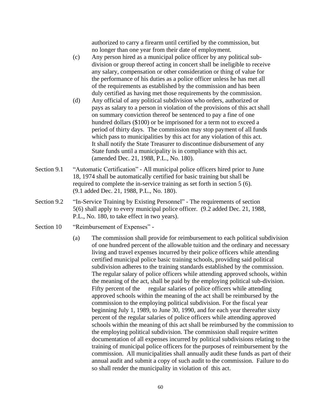authorized to carry a firearm until certified by the commission, but no longer than one year from their date of employment.

- (c) Any person hired as a municipal police officer by any political subdivision or group thereof acting in concert shall be ineligible to receive any salary, compensation or other consideration or thing of value for the performance of his duties as a police officer unless he has met all of the requirements as established by the commission and has been duly certified as having met those requirements by the commission.
- (d) Any official of any political subdivision who orders, authorized or pays as salary to a person in violation of the provisions of this act shall on summary conviction thereof be sentenced to pay a fine of one hundred dollars (\$100) or be imprisoned for a term not to exceed a period of thirty days. The commission may stop payment of all funds which pass to municipalities by this act for any violation of this act. It shall notify the State Treasurer to discontinue disbursement of any State funds until a municipality is in compliance with this act. (amended Dec. 21, 1988, P.L., No. 180).
- Section 9.1 "Automatic Certification" All municipal police officers hired prior to June 18, 1974 shall be automatically certified for basic training but shall be required to complete the in-service training as set forth in section 5 (6). (9.1 added Dec. 21, 1988, P.L., No. 180).
- Section 9.2 "In-Service Training by Existing Personnel" The requirements of section 5(6) shall apply to every municipal police officer. (9.2 added Dec. 21, 1988, P.L., No. 180, to take effect in two years).
- Section 10 "Reimbursement of Expenses" -
	- (a) The commission shall provide for reimbursement to each political subdivision of one hundred percent of the allowable tuition and the ordinary and necessary living and travel expenses incurred by their police officers while attending certified municipal police basic training schools, providing said political subdivision adheres to the training standards established by the commission. The regular salary of police officers while attending approved schools, within the meaning of the act, shall be paid by the employing political sub-division. Fifty percent of the regular salaries of police officers while attending approved schools within the meaning of the act shall be reimbursed by the commission to the employing political subdivision. For the fiscal year beginning July 1, 1989, to June 30, 1990, and for each year thereafter sixty percent of the regular salaries of police officers while attending approved schools within the meaning of this act shall be reimbursed by the commission to the employing political subdivision. The commission shall require written documentation of all expenses incurred by political subdivisions relating to the training of municipal police officers for the purposes of reimbursement by the commission. All municipalities shall annually audit these funds as part of their annual audit and submit a copy of such audit to the commission. Failure to do so shall render the municipality in violation of this act.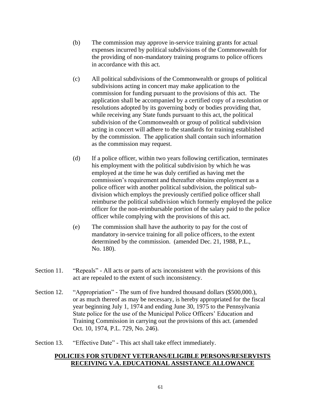- (b) The commission may approve in-service training grants for actual expenses incurred by political subdivisions of the Commonwealth for the providing of non-mandatory training programs to police officers in accordance with this act.
- (c) All political subdivisions of the Commonwealth or groups of political subdivisions acting in concert may make application to the commission for funding pursuant to the provisions of this act. The application shall be accompanied by a certified copy of a resolution or resolutions adopted by its governing body or bodies providing that, while receiving any State funds pursuant to this act, the political subdivision of the Commonwealth or group of political subdivision acting in concert will adhere to the standards for training established by the commission. The application shall contain such information as the commission may request.
- (d) If a police officer, within two years following certification, terminates his employment with the political subdivision by which he was employed at the time he was duly certified as having met the commission's requirement and thereafter obtains employment as a police officer with another political subdivision, the political subdivision which employs the previously certified police officer shall reimburse the political subdivision which formerly employed the police officer for the non-reimbursable portion of the salary paid to the police officer while complying with the provisions of this act.
- (e) The commission shall have the authority to pay for the cost of mandatory in-service training for all police officers, to the extent determined by the commission. (amended Dec. 21, 1988, P.L., No. 180).
- Section 11. "Repeals" All acts or parts of acts inconsistent with the provisions of this act are repealed to the extent of such inconsistency.
- Section 12. "Appropriation" The sum of five hundred thousand dollars (\$500,000.), or as much thereof as may be necessary, is hereby appropriated for the fiscal year beginning July 1, 1974 and ending June 30, 1975 to the Pennsylvania State police for the use of the Municipal Police Officers' Education and Training Commission in carrying out the provisions of this act. (amended Oct. 10, 1974, P.L. 729, No. 246).
- Section 13. "Effective Date" This act shall take effect immediately.

#### **POLICIES FOR STUDENT VETERANS/ELIGIBLE PERSONS/RESERVISTS RECEIVING V.A. EDUCATIONAL ASSISTANCE ALLOWANCE**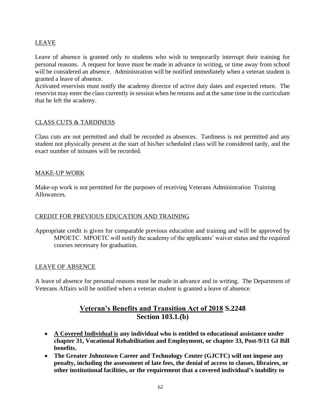# LEAVE

Leave of absence is granted only to students who wish to temporarily interrupt their training for personal reasons. A request for leave must be made in advance in writing, or time away from school will be considered an absence. Administration will be notified immediately when a veteran student is granted a leave of absence.

Activated reservists must notify the academy director of active duty dates and expected return. The reservist may enter the class currently in session when he returns and at the same time in the curriculum that he left the academy.

#### CLASS CUTS & TARDINESS

Class cuts are not permitted and shall be recorded as absences. Tardiness is not permitted and any student not physically present at the start of his/her scheduled class will be considered tardy, and the exact number of minutes will be recorded.

#### MAKE-UP WORK

Make-up work is not permitted for the purposes of receiving Veterans Administration Training Allowances.

#### CREDIT FOR PREVIOUS EDUCATION AND TRAINING

Appropriate credit is given for comparable previous education and training and will be approved by MPOETC. MPOETC will notify the academy of the applicants' waiver status and the required courses necessary for graduation.

#### LEAVE OF ABSENCE

A leave of absence for personal reasons must be made in advance and in writing. The Department of Veterans Affairs will be notified when a veteran student is granted a leave of absence.

# **Veteran's Benefits and Transition Act of 2018 S.2248 Section 103.1.(b)**

- **A Covered Individual is any individual who is entitled to educational assistance under chapter 31, Vocational Rehabilitation and Employment, or chapter 33, Post-9/11 GI Bill benefits.**
- **The Greater Johnstown Career and Technology Center (GJCTC) will not impose any penalty, including the assessment of late fees, the denial of access to classes, libraires, or other institutional facilities, or the requirement that a covered individual's inability to**